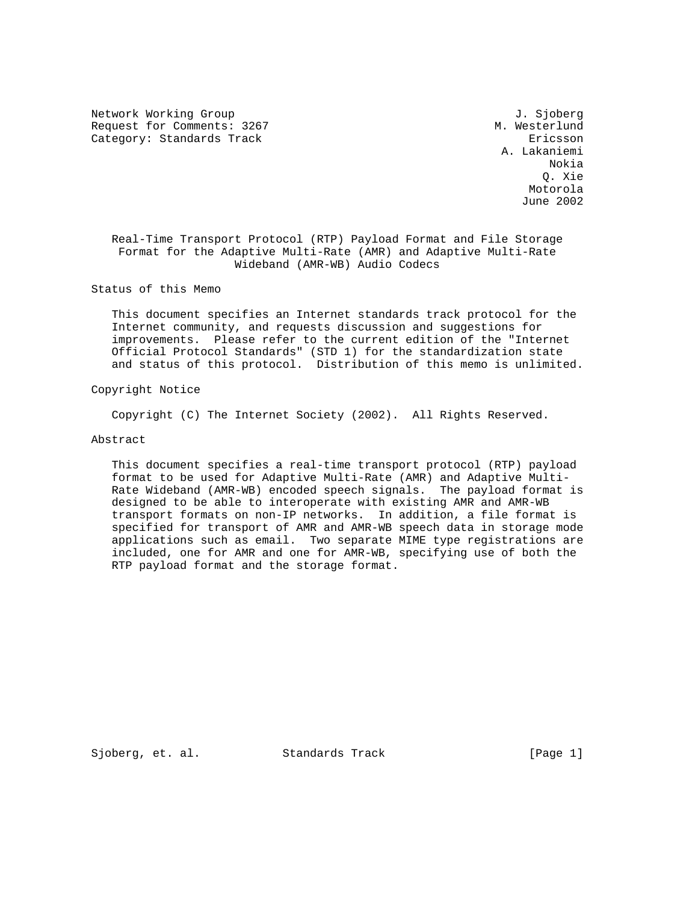Network Working Group<br>Request for Comments: 3267 M. Westerlund Request for Comments: 3267 Category: Standards Track Ericsson

 A. Lakaniemi Nokia Q. Xie Motorola June 2002

 Real-Time Transport Protocol (RTP) Payload Format and File Storage Format for the Adaptive Multi-Rate (AMR) and Adaptive Multi-Rate Wideband (AMR-WB) Audio Codecs

Status of this Memo

 This document specifies an Internet standards track protocol for the Internet community, and requests discussion and suggestions for improvements. Please refer to the current edition of the "Internet Official Protocol Standards" (STD 1) for the standardization state and status of this protocol. Distribution of this memo is unlimited.

Copyright Notice

Copyright (C) The Internet Society (2002). All Rights Reserved.

# Abstract

 This document specifies a real-time transport protocol (RTP) payload format to be used for Adaptive Multi-Rate (AMR) and Adaptive Multi- Rate Wideband (AMR-WB) encoded speech signals. The payload format is designed to be able to interoperate with existing AMR and AMR-WB transport formats on non-IP networks. In addition, a file format is specified for transport of AMR and AMR-WB speech data in storage mode applications such as email. Two separate MIME type registrations are included, one for AMR and one for AMR-WB, specifying use of both the RTP payload format and the storage format.

Sjoberg, et. al. Standards Track [Page 1]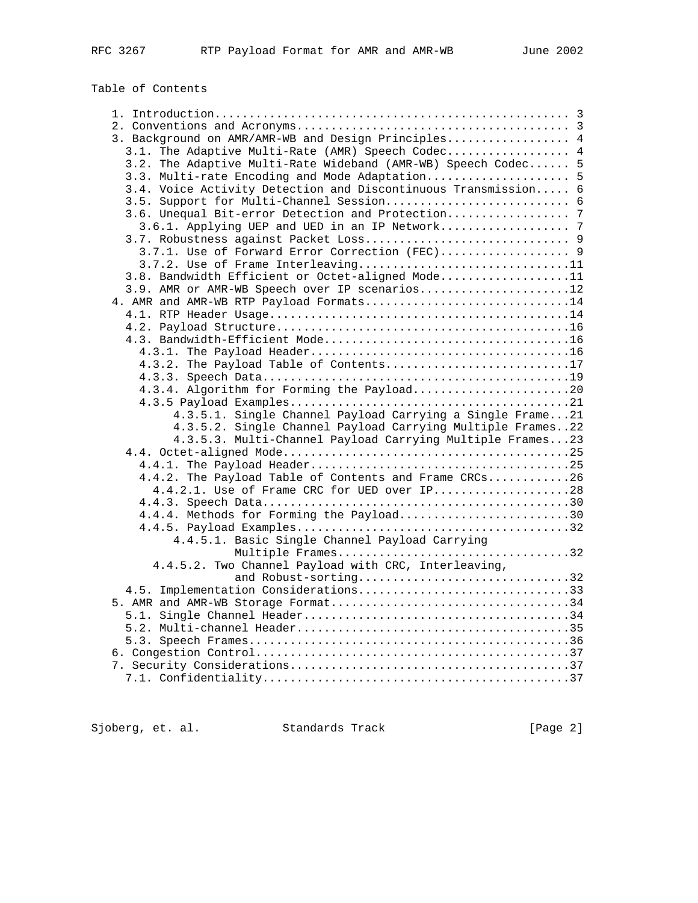# Table of Contents

| 3. Background on AMR/AMR-WB and Design Principles 4            |  |
|----------------------------------------------------------------|--|
| 3.1. The Adaptive Multi-Rate (AMR) Speech Codec 4              |  |
| 3.2. The Adaptive Multi-Rate Wideband (AMR-WB) Speech Codec 5  |  |
| 3.3. Multi-rate Encoding and Mode Adaptation 5                 |  |
| 3.4. Voice Activity Detection and Discontinuous Transmission 6 |  |
|                                                                |  |
|                                                                |  |
|                                                                |  |
|                                                                |  |
| 3.7.1. Use of Forward Error Correction (FEC) 9                 |  |
| 3.7.2. Use of Frame Interleaving11                             |  |
| 3.8. Bandwidth Efficient or Octet-aligned Mode11               |  |
| 3.9. AMR or AMR-WB Speech over IP scenarios12                  |  |
| 4. AMR and AMR-WB RTP Payload Formats14                        |  |
|                                                                |  |
|                                                                |  |
|                                                                |  |
|                                                                |  |
| 4.3.2. The Payload Table of Contents17                         |  |
|                                                                |  |
| 4.3.4. Algorithm for Forming the Payload20                     |  |
|                                                                |  |
| 4.3.5.1. Single Channel Payload Carrying a Single Frame21      |  |
| 4.3.5.2. Single Channel Payload Carrying Multiple Frames22     |  |
| 4.3.5.3. Multi-Channel Payload Carrying Multiple Frames23      |  |
|                                                                |  |
|                                                                |  |
| 4.4.2. The Payload Table of Contents and Frame CRCs26          |  |
| 4.4.2.1. Use of Frame CRC for UED over IP28                    |  |
|                                                                |  |
| 4.4.4. Methods for Forming the Payload30                       |  |
|                                                                |  |
| 4.4.5.1. Basic Single Channel Payload Carrying                 |  |
| Multiple Frames32                                              |  |
| 4.4.5.2. Two Channel Payload with CRC, Interleaving,           |  |
| and Robust-sorting32                                           |  |
| 4.5. Implementation Considerations33                           |  |
|                                                                |  |
|                                                                |  |
|                                                                |  |
|                                                                |  |
|                                                                |  |
|                                                                |  |
|                                                                |  |
|                                                                |  |

Sjoberg, et. al. Standards Track [Page 2]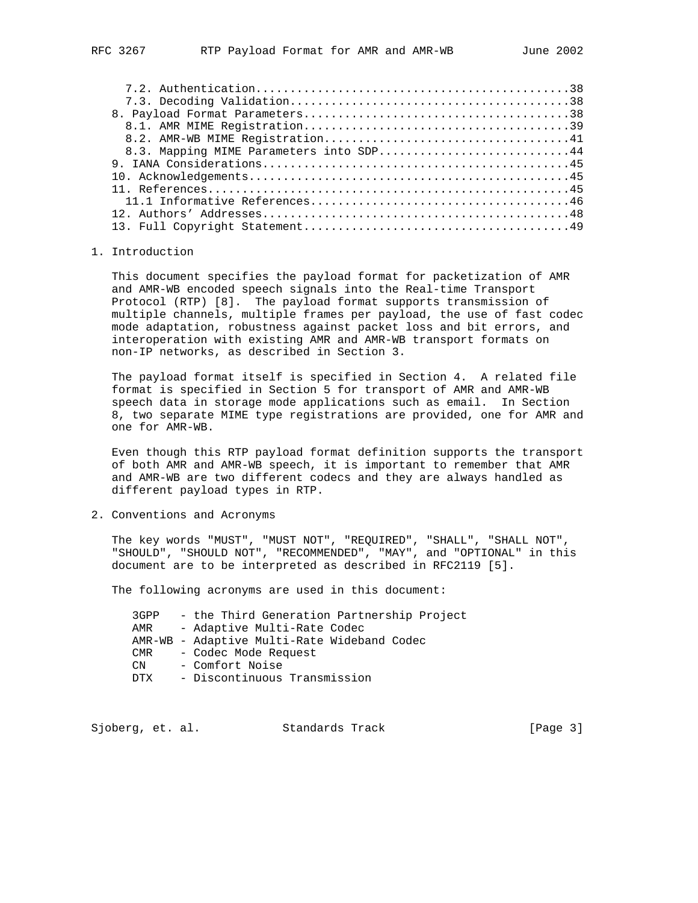| 8.3. Mapping MIME Parameters into SDP44 |  |
|-----------------------------------------|--|
|                                         |  |
|                                         |  |
|                                         |  |
|                                         |  |
|                                         |  |

 12. Authors' Addresses.............................................48 13. Full Copyright Statement.......................................49

#### 1. Introduction

 This document specifies the payload format for packetization of AMR and AMR-WB encoded speech signals into the Real-time Transport Protocol (RTP) [8]. The payload format supports transmission of multiple channels, multiple frames per payload, the use of fast codec mode adaptation, robustness against packet loss and bit errors, and interoperation with existing AMR and AMR-WB transport formats on non-IP networks, as described in Section 3.

 The payload format itself is specified in Section 4. A related file format is specified in Section 5 for transport of AMR and AMR-WB speech data in storage mode applications such as email. In Section 8, two separate MIME type registrations are provided, one for AMR and one for AMR-WB.

 Even though this RTP payload format definition supports the transport of both AMR and AMR-WB speech, it is important to remember that AMR and AMR-WB are two different codecs and they are always handled as different payload types in RTP.

2. Conventions and Acronyms

 The key words "MUST", "MUST NOT", "REQUIRED", "SHALL", "SHALL NOT", "SHOULD", "SHOULD NOT", "RECOMMENDED", "MAY", and "OPTIONAL" in this document are to be interpreted as described in RFC2119 [5].

The following acronyms are used in this document:

 3GPP - the Third Generation Partnership Project AMR - Adaptive Multi-Rate Codec AMR-WB - Adaptive Multi-Rate Wideband Codec CMR - Codec Mode Request CN - Comfort Noise DTX - Discontinuous Transmission

Sjoberg, et. al. Standards Track [Page 3]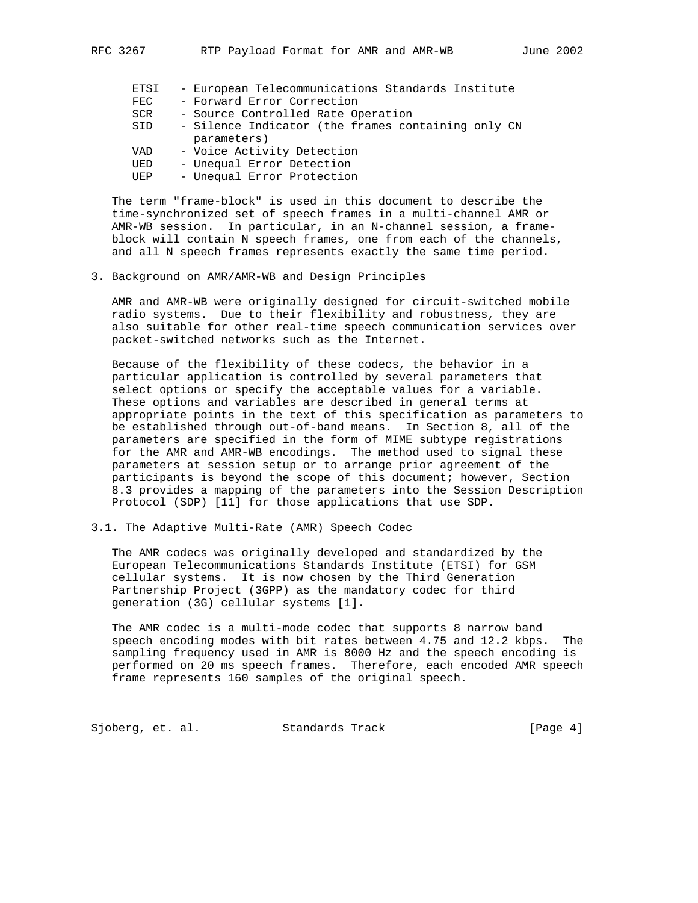| ETSI<br><b>FEC</b><br><b>SCR</b><br>SID | - European Telecommunications Standards Institute<br>- Forward Error Correction<br>- Source Controlled Rate Operation<br>- Silence Indicator (the frames containing only CN<br>parameters) |
|-----------------------------------------|--------------------------------------------------------------------------------------------------------------------------------------------------------------------------------------------|
| VAD                                     | - Voice Activity Detection                                                                                                                                                                 |
| UED                                     | - Unequal Error Detection                                                                                                                                                                  |
| UEP                                     | - Unequal Error Protection                                                                                                                                                                 |

 The term "frame-block" is used in this document to describe the time-synchronized set of speech frames in a multi-channel AMR or AMR-WB session. In particular, in an N-channel session, a frame block will contain N speech frames, one from each of the channels, and all N speech frames represents exactly the same time period.

3. Background on AMR/AMR-WB and Design Principles

 AMR and AMR-WB were originally designed for circuit-switched mobile radio systems. Due to their flexibility and robustness, they are also suitable for other real-time speech communication services over packet-switched networks such as the Internet.

 Because of the flexibility of these codecs, the behavior in a particular application is controlled by several parameters that select options or specify the acceptable values for a variable. These options and variables are described in general terms at appropriate points in the text of this specification as parameters to be established through out-of-band means. In Section 8, all of the parameters are specified in the form of MIME subtype registrations for the AMR and AMR-WB encodings. The method used to signal these parameters at session setup or to arrange prior agreement of the participants is beyond the scope of this document; however, Section 8.3 provides a mapping of the parameters into the Session Description Protocol (SDP) [11] for those applications that use SDP.

3.1. The Adaptive Multi-Rate (AMR) Speech Codec

 The AMR codecs was originally developed and standardized by the European Telecommunications Standards Institute (ETSI) for GSM cellular systems. It is now chosen by the Third Generation Partnership Project (3GPP) as the mandatory codec for third generation (3G) cellular systems [1].

 The AMR codec is a multi-mode codec that supports 8 narrow band speech encoding modes with bit rates between 4.75 and 12.2 kbps. The sampling frequency used in AMR is 8000 Hz and the speech encoding is performed on 20 ms speech frames. Therefore, each encoded AMR speech frame represents 160 samples of the original speech.

Sjoberg, et. al. Standards Track [Page 4]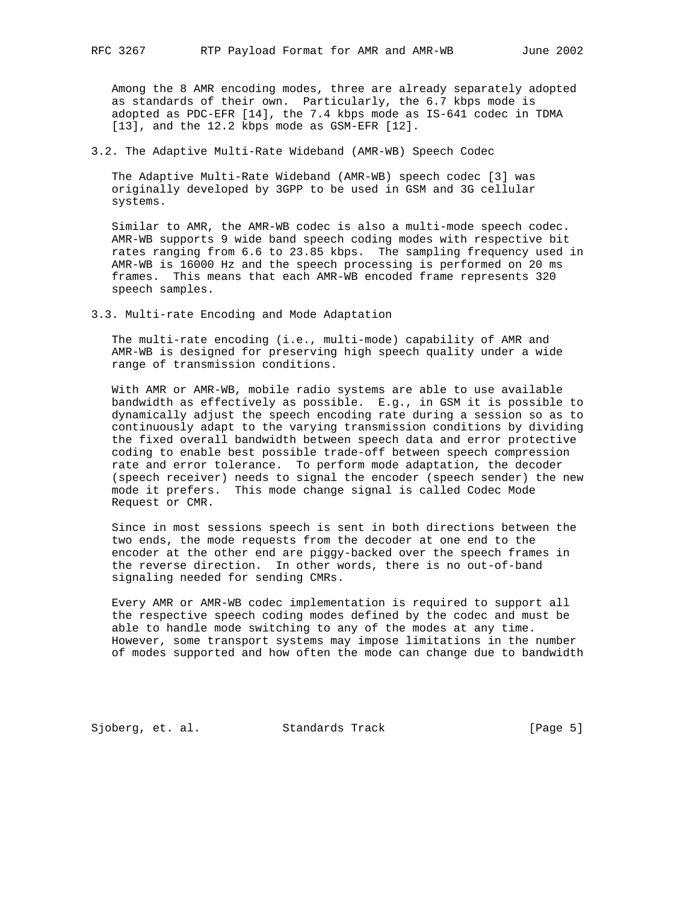Among the 8 AMR encoding modes, three are already separately adopted as standards of their own. Particularly, the 6.7 kbps mode is adopted as PDC-EFR [14], the 7.4 kbps mode as IS-641 codec in TDMA [13], and the 12.2 kbps mode as GSM-EFR [12].

3.2. The Adaptive Multi-Rate Wideband (AMR-WB) Speech Codec

 The Adaptive Multi-Rate Wideband (AMR-WB) speech codec [3] was originally developed by 3GPP to be used in GSM and 3G cellular systems.

 Similar to AMR, the AMR-WB codec is also a multi-mode speech codec. AMR-WB supports 9 wide band speech coding modes with respective bit rates ranging from 6.6 to 23.85 kbps. The sampling frequency used in AMR-WB is 16000 Hz and the speech processing is performed on 20 ms frames. This means that each AMR-WB encoded frame represents 320 speech samples.

3.3. Multi-rate Encoding and Mode Adaptation

 The multi-rate encoding (i.e., multi-mode) capability of AMR and AMR-WB is designed for preserving high speech quality under a wide range of transmission conditions.

 With AMR or AMR-WB, mobile radio systems are able to use available bandwidth as effectively as possible. E.g., in GSM it is possible to dynamically adjust the speech encoding rate during a session so as to continuously adapt to the varying transmission conditions by dividing the fixed overall bandwidth between speech data and error protective coding to enable best possible trade-off between speech compression rate and error tolerance. To perform mode adaptation, the decoder (speech receiver) needs to signal the encoder (speech sender) the new mode it prefers. This mode change signal is called Codec Mode Request or CMR.

 Since in most sessions speech is sent in both directions between the two ends, the mode requests from the decoder at one end to the encoder at the other end are piggy-backed over the speech frames in the reverse direction. In other words, there is no out-of-band signaling needed for sending CMRs.

 Every AMR or AMR-WB codec implementation is required to support all the respective speech coding modes defined by the codec and must be able to handle mode switching to any of the modes at any time. However, some transport systems may impose limitations in the number of modes supported and how often the mode can change due to bandwidth

Sjoberg, et. al. Standards Track [Page 5]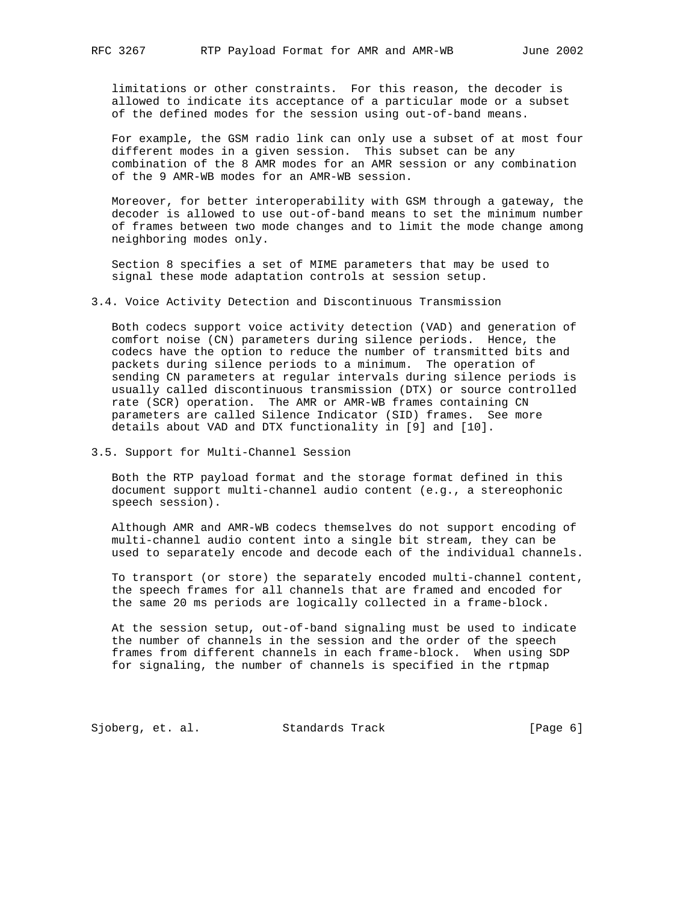limitations or other constraints. For this reason, the decoder is allowed to indicate its acceptance of a particular mode or a subset of the defined modes for the session using out-of-band means.

 For example, the GSM radio link can only use a subset of at most four different modes in a given session. This subset can be any combination of the 8 AMR modes for an AMR session or any combination of the 9 AMR-WB modes for an AMR-WB session.

 Moreover, for better interoperability with GSM through a gateway, the decoder is allowed to use out-of-band means to set the minimum number of frames between two mode changes and to limit the mode change among neighboring modes only.

 Section 8 specifies a set of MIME parameters that may be used to signal these mode adaptation controls at session setup.

3.4. Voice Activity Detection and Discontinuous Transmission

 Both codecs support voice activity detection (VAD) and generation of comfort noise (CN) parameters during silence periods. Hence, the codecs have the option to reduce the number of transmitted bits and packets during silence periods to a minimum. The operation of sending CN parameters at regular intervals during silence periods is usually called discontinuous transmission (DTX) or source controlled rate (SCR) operation. The AMR or AMR-WB frames containing CN parameters are called Silence Indicator (SID) frames. See more details about VAD and DTX functionality in [9] and [10].

3.5. Support for Multi-Channel Session

 Both the RTP payload format and the storage format defined in this document support multi-channel audio content (e.g., a stereophonic speech session).

 Although AMR and AMR-WB codecs themselves do not support encoding of multi-channel audio content into a single bit stream, they can be used to separately encode and decode each of the individual channels.

 To transport (or store) the separately encoded multi-channel content, the speech frames for all channels that are framed and encoded for the same 20 ms periods are logically collected in a frame-block.

 At the session setup, out-of-band signaling must be used to indicate the number of channels in the session and the order of the speech frames from different channels in each frame-block. When using SDP for signaling, the number of channels is specified in the rtpmap

Sjoberg, et. al. Standards Track [Page 6]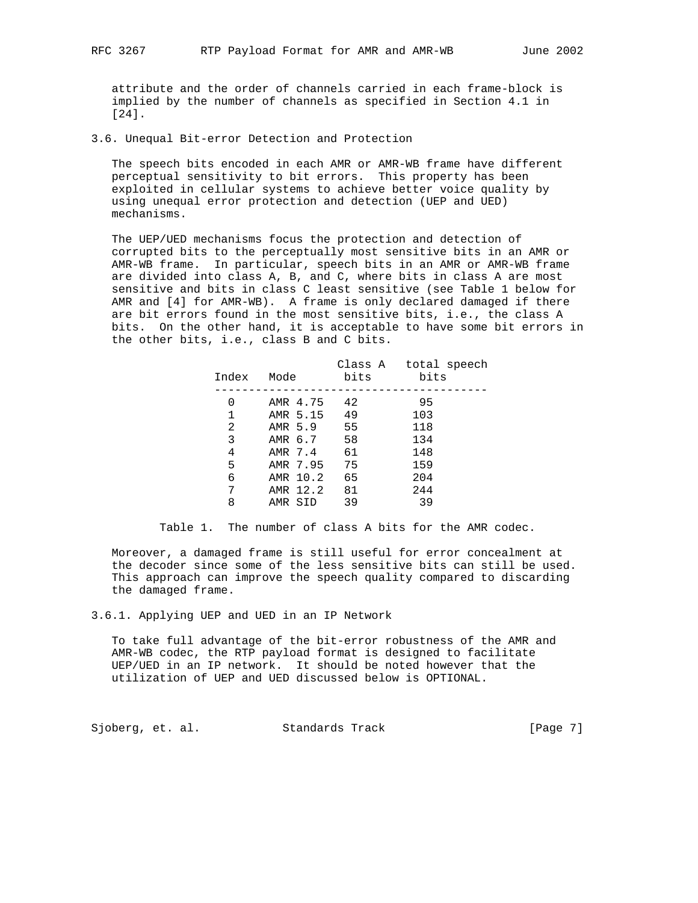attribute and the order of channels carried in each frame-block is implied by the number of channels as specified in Section 4.1 in [24].

3.6. Unequal Bit-error Detection and Protection

 The speech bits encoded in each AMR or AMR-WB frame have different perceptual sensitivity to bit errors. This property has been exploited in cellular systems to achieve better voice quality by using unequal error protection and detection (UEP and UED) mechanisms.

 The UEP/UED mechanisms focus the protection and detection of corrupted bits to the perceptually most sensitive bits in an AMR or AMR-WB frame. In particular, speech bits in an AMR or AMR-WB frame are divided into class A, B, and C, where bits in class A are most sensitive and bits in class C least sensitive (see Table 1 below for AMR and [4] for AMR-WB). A frame is only declared damaged if there are bit errors found in the most sensitive bits, i.e., the class A bits. On the other hand, it is acceptable to have some bit errors in the other bits, i.e., class B and C bits.

| Index | Mode     | bits | Class A total speech<br>bits |
|-------|----------|------|------------------------------|
| 0     | AMR 4.75 | 42   | 95                           |
| 1     | AMR 5.15 | 49   | 103                          |
| 2     | AMR 5.9  | 55   | 118                          |
| 3     | AMR 6.7  | 58   | 134                          |
| 4     | AMR 7.4  | 61   | 148                          |
| 5     | AMR 7.95 | 75   | 159                          |
| 6     | AMR 10.2 | 65   | 204                          |
| 7     | AMR 12.2 | 81   | 244                          |
| 8     | AMR SID  | 39   | 39                           |

Table 1. The number of class A bits for the AMR codec.

 Moreover, a damaged frame is still useful for error concealment at the decoder since some of the less sensitive bits can still be used. This approach can improve the speech quality compared to discarding the damaged frame.

3.6.1. Applying UEP and UED in an IP Network

 To take full advantage of the bit-error robustness of the AMR and AMR-WB codec, the RTP payload format is designed to facilitate UEP/UED in an IP network. It should be noted however that the utilization of UEP and UED discussed below is OPTIONAL.

Sjoberg, et. al. Standards Track [Page 7]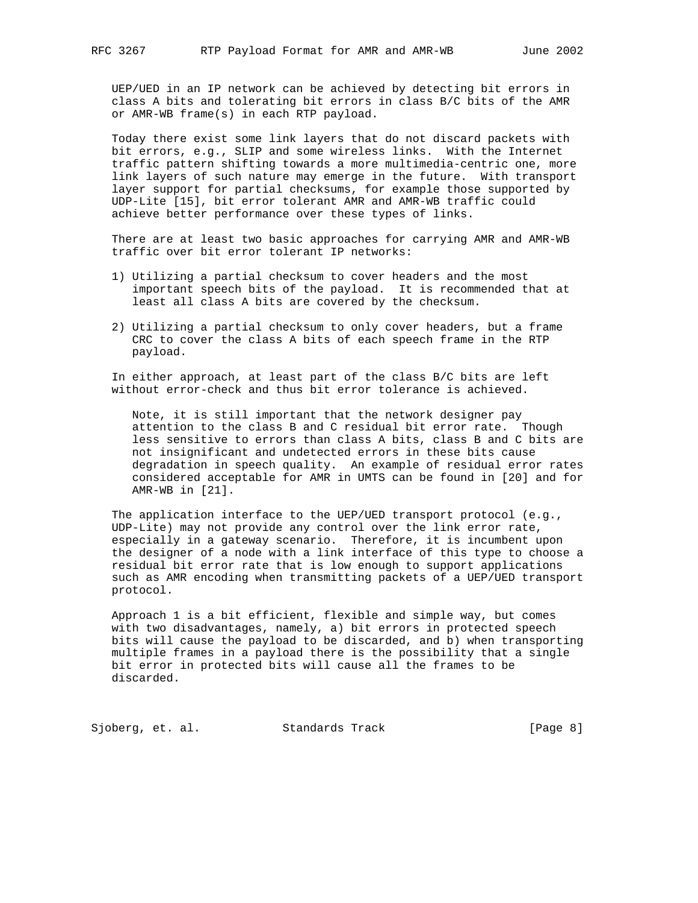UEP/UED in an IP network can be achieved by detecting bit errors in class A bits and tolerating bit errors in class B/C bits of the AMR or AMR-WB frame(s) in each RTP payload.

 Today there exist some link layers that do not discard packets with bit errors, e.g., SLIP and some wireless links. With the Internet traffic pattern shifting towards a more multimedia-centric one, more link layers of such nature may emerge in the future. With transport layer support for partial checksums, for example those supported by UDP-Lite [15], bit error tolerant AMR and AMR-WB traffic could achieve better performance over these types of links.

 There are at least two basic approaches for carrying AMR and AMR-WB traffic over bit error tolerant IP networks:

- 1) Utilizing a partial checksum to cover headers and the most important speech bits of the payload. It is recommended that at least all class A bits are covered by the checksum.
- 2) Utilizing a partial checksum to only cover headers, but a frame CRC to cover the class A bits of each speech frame in the RTP payload.

 In either approach, at least part of the class B/C bits are left without error-check and thus bit error tolerance is achieved.

 Note, it is still important that the network designer pay attention to the class B and C residual bit error rate. Though less sensitive to errors than class A bits, class B and C bits are not insignificant and undetected errors in these bits cause degradation in speech quality. An example of residual error rates considered acceptable for AMR in UMTS can be found in [20] and for AMR-WB in [21].

 The application interface to the UEP/UED transport protocol (e.g., UDP-Lite) may not provide any control over the link error rate, especially in a gateway scenario. Therefore, it is incumbent upon the designer of a node with a link interface of this type to choose a residual bit error rate that is low enough to support applications such as AMR encoding when transmitting packets of a UEP/UED transport protocol.

 Approach 1 is a bit efficient, flexible and simple way, but comes with two disadvantages, namely, a) bit errors in protected speech bits will cause the payload to be discarded, and b) when transporting multiple frames in a payload there is the possibility that a single bit error in protected bits will cause all the frames to be discarded.

Sjoberg, et. al. Standards Track [Page 8]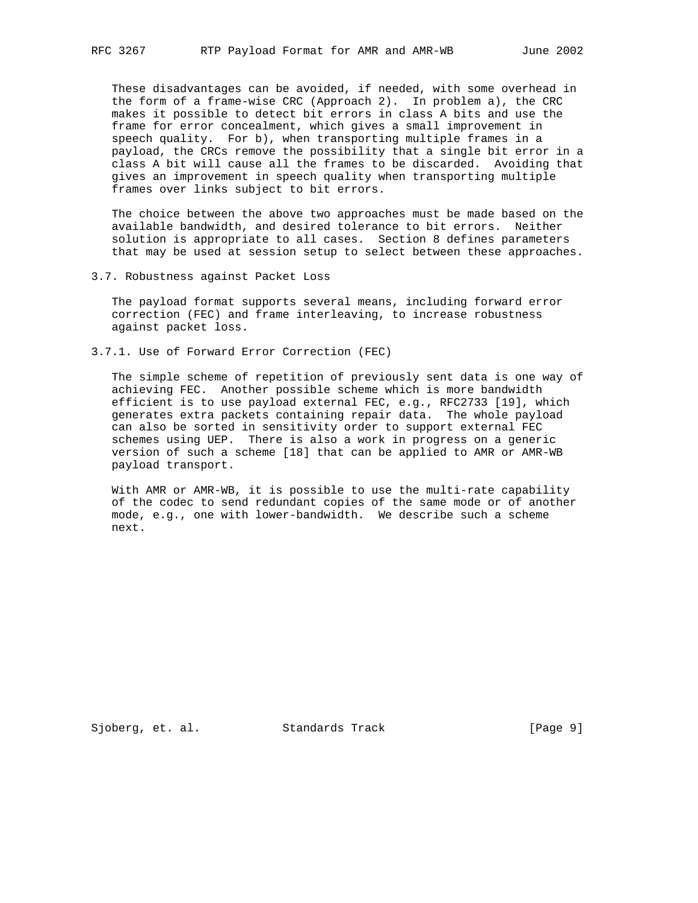These disadvantages can be avoided, if needed, with some overhead in the form of a frame-wise CRC (Approach 2). In problem a), the CRC makes it possible to detect bit errors in class A bits and use the frame for error concealment, which gives a small improvement in speech quality. For b), when transporting multiple frames in a payload, the CRCs remove the possibility that a single bit error in a class A bit will cause all the frames to be discarded. Avoiding that gives an improvement in speech quality when transporting multiple frames over links subject to bit errors.

 The choice between the above two approaches must be made based on the available bandwidth, and desired tolerance to bit errors. Neither solution is appropriate to all cases. Section 8 defines parameters that may be used at session setup to select between these approaches.

3.7. Robustness against Packet Loss

 The payload format supports several means, including forward error correction (FEC) and frame interleaving, to increase robustness against packet loss.

3.7.1. Use of Forward Error Correction (FEC)

 The simple scheme of repetition of previously sent data is one way of achieving FEC. Another possible scheme which is more bandwidth efficient is to use payload external FEC, e.g., RFC2733 [19], which generates extra packets containing repair data. The whole payload can also be sorted in sensitivity order to support external FEC schemes using UEP. There is also a work in progress on a generic version of such a scheme [18] that can be applied to AMR or AMR-WB payload transport.

 With AMR or AMR-WB, it is possible to use the multi-rate capability of the codec to send redundant copies of the same mode or of another mode, e.g., one with lower-bandwidth. We describe such a scheme next.

Sjoberg, et. al. Standards Track [Page 9]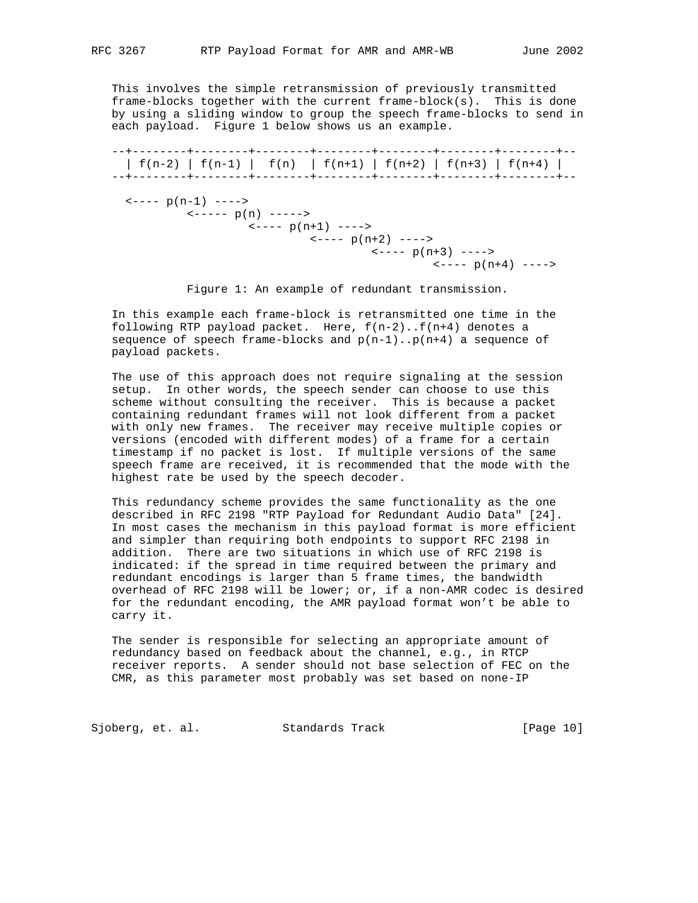This involves the simple retransmission of previously transmitted frame-blocks together with the current frame-block(s). This is done by using a sliding window to group the speech frame-blocks to send in each payload. Figure 1 below shows us an example.

 --+--------+--------+--------+--------+--------+--------+--------+--  $| f(n-2) | f(n-1) | f(n) | f(n+1) | f(n+2) | f(n+3) | f(n+4)$  --+--------+--------+--------+--------+--------+--------+--------+--  $\leftarrow--- p(n-1)$   $-- \left\langle - - - - p(n) \right\rangle$  $\left\langle - - - p(n+1) \right\rangle$  ---->  $\leftarrow---p(n+2)$  ----> <---- p(n+3) ---->  $\left\langle - - - - p(n+4) \right\rangle$  ---->

Figure 1: An example of redundant transmission.

 In this example each frame-block is retransmitted one time in the following RTP payload packet. Here,  $f(n-2)$ .. $f(n+4)$  denotes a sequence of speech frame-blocks and  $p(n-1) \nvert p(n+4)$  a sequence of payload packets.

 The use of this approach does not require signaling at the session setup. In other words, the speech sender can choose to use this scheme without consulting the receiver. This is because a packet containing redundant frames will not look different from a packet with only new frames. The receiver may receive multiple copies or versions (encoded with different modes) of a frame for a certain timestamp if no packet is lost. If multiple versions of the same speech frame are received, it is recommended that the mode with the highest rate be used by the speech decoder.

 This redundancy scheme provides the same functionality as the one described in RFC 2198 "RTP Payload for Redundant Audio Data" [24]. In most cases the mechanism in this payload format is more efficient and simpler than requiring both endpoints to support RFC 2198 in addition. There are two situations in which use of RFC 2198 is indicated: if the spread in time required between the primary and redundant encodings is larger than 5 frame times, the bandwidth overhead of RFC 2198 will be lower; or, if a non-AMR codec is desired for the redundant encoding, the AMR payload format won't be able to carry it.

 The sender is responsible for selecting an appropriate amount of redundancy based on feedback about the channel, e.g., in RTCP receiver reports. A sender should not base selection of FEC on the CMR, as this parameter most probably was set based on none-IP

Sjoberg, et. al. Standards Track [Page 10]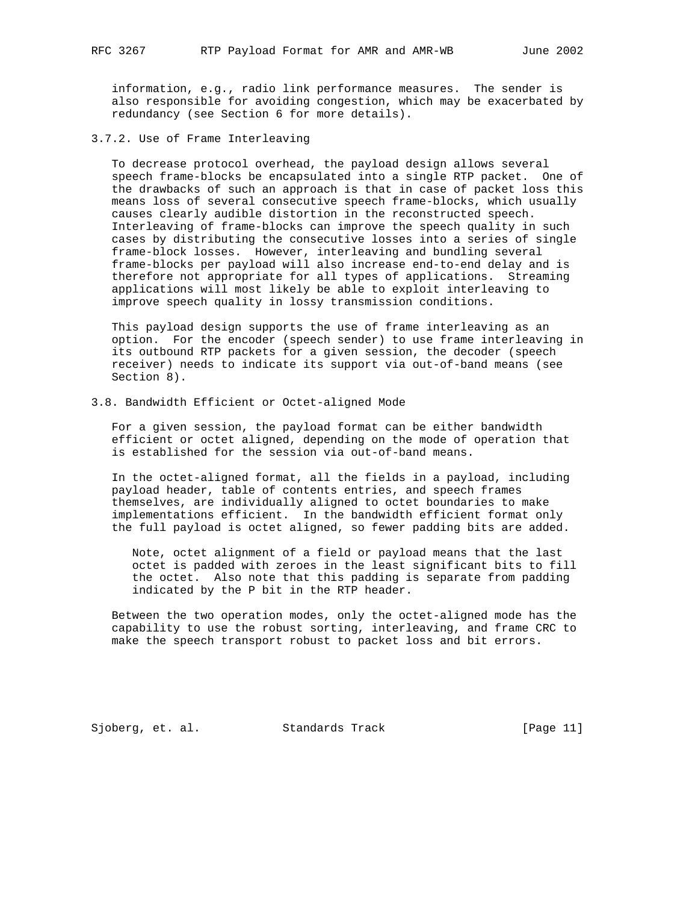information, e.g., radio link performance measures. The sender is also responsible for avoiding congestion, which may be exacerbated by redundancy (see Section 6 for more details).

3.7.2. Use of Frame Interleaving

 To decrease protocol overhead, the payload design allows several speech frame-blocks be encapsulated into a single RTP packet. One of the drawbacks of such an approach is that in case of packet loss this means loss of several consecutive speech frame-blocks, which usually causes clearly audible distortion in the reconstructed speech. Interleaving of frame-blocks can improve the speech quality in such cases by distributing the consecutive losses into a series of single frame-block losses. However, interleaving and bundling several frame-blocks per payload will also increase end-to-end delay and is therefore not appropriate for all types of applications. Streaming applications will most likely be able to exploit interleaving to improve speech quality in lossy transmission conditions.

 This payload design supports the use of frame interleaving as an option. For the encoder (speech sender) to use frame interleaving in its outbound RTP packets for a given session, the decoder (speech receiver) needs to indicate its support via out-of-band means (see Section 8).

3.8. Bandwidth Efficient or Octet-aligned Mode

 For a given session, the payload format can be either bandwidth efficient or octet aligned, depending on the mode of operation that is established for the session via out-of-band means.

 In the octet-aligned format, all the fields in a payload, including payload header, table of contents entries, and speech frames themselves, are individually aligned to octet boundaries to make implementations efficient. In the bandwidth efficient format only the full payload is octet aligned, so fewer padding bits are added.

 Note, octet alignment of a field or payload means that the last octet is padded with zeroes in the least significant bits to fill the octet. Also note that this padding is separate from padding indicated by the P bit in the RTP header.

 Between the two operation modes, only the octet-aligned mode has the capability to use the robust sorting, interleaving, and frame CRC to make the speech transport robust to packet loss and bit errors.

Sjoberg, et. al. Standards Track [Page 11]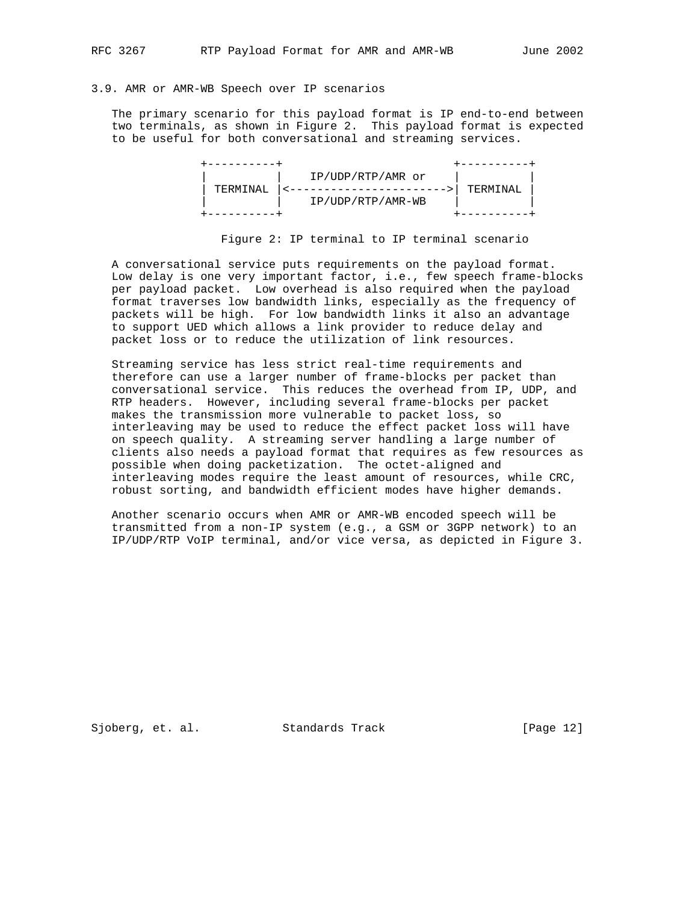# 3.9. AMR or AMR-WB Speech over IP scenarios

 The primary scenario for this payload format is IP end-to-end between two terminals, as shown in Figure 2. This payload format is expected to be useful for both conversational and streaming services.

|          | IP/UDP/RTP/AMR or |           |
|----------|-------------------|-----------|
| TERMINAI |                   | TERMINAI. |
|          | IP/UDP/RTP/AMR-WB |           |
|          |                   |           |

Figure 2: IP terminal to IP terminal scenario

 A conversational service puts requirements on the payload format. Low delay is one very important factor, i.e., few speech frame-blocks per payload packet. Low overhead is also required when the payload format traverses low bandwidth links, especially as the frequency of packets will be high. For low bandwidth links it also an advantage to support UED which allows a link provider to reduce delay and packet loss or to reduce the utilization of link resources.

 Streaming service has less strict real-time requirements and therefore can use a larger number of frame-blocks per packet than conversational service. This reduces the overhead from IP, UDP, and RTP headers. However, including several frame-blocks per packet makes the transmission more vulnerable to packet loss, so interleaving may be used to reduce the effect packet loss will have on speech quality. A streaming server handling a large number of clients also needs a payload format that requires as few resources as possible when doing packetization. The octet-aligned and interleaving modes require the least amount of resources, while CRC, robust sorting, and bandwidth efficient modes have higher demands.

 Another scenario occurs when AMR or AMR-WB encoded speech will be transmitted from a non-IP system (e.g., a GSM or 3GPP network) to an IP/UDP/RTP VoIP terminal, and/or vice versa, as depicted in Figure 3.

Sjoberg, et. al. Standards Track [Page 12]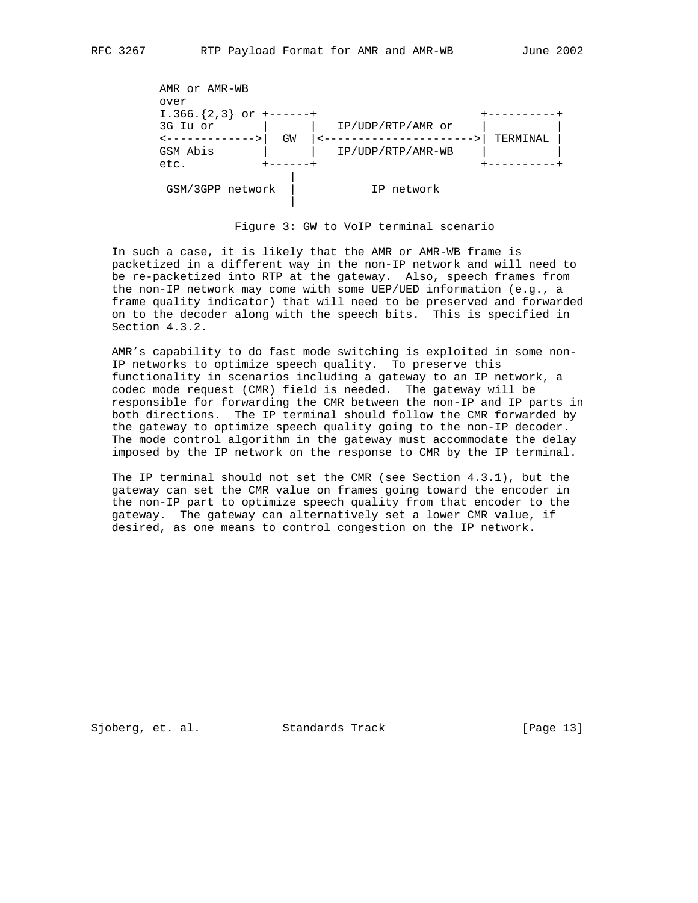

Figure 3: GW to VoIP terminal scenario

 In such a case, it is likely that the AMR or AMR-WB frame is packetized in a different way in the non-IP network and will need to be re-packetized into RTP at the gateway. Also, speech frames from the non-IP network may come with some UEP/UED information (e.g., a frame quality indicator) that will need to be preserved and forwarded on to the decoder along with the speech bits. This is specified in Section 4.3.2.

 AMR's capability to do fast mode switching is exploited in some non- IP networks to optimize speech quality. To preserve this functionality in scenarios including a gateway to an IP network, a codec mode request (CMR) field is needed. The gateway will be responsible for forwarding the CMR between the non-IP and IP parts in both directions. The IP terminal should follow the CMR forwarded by the gateway to optimize speech quality going to the non-IP decoder. The mode control algorithm in the gateway must accommodate the delay imposed by the IP network on the response to CMR by the IP terminal.

 The IP terminal should not set the CMR (see Section 4.3.1), but the gateway can set the CMR value on frames going toward the encoder in the non-IP part to optimize speech quality from that encoder to the gateway. The gateway can alternatively set a lower CMR value, if desired, as one means to control congestion on the IP network.

Sjoberg, et. al. Standards Track [Page 13]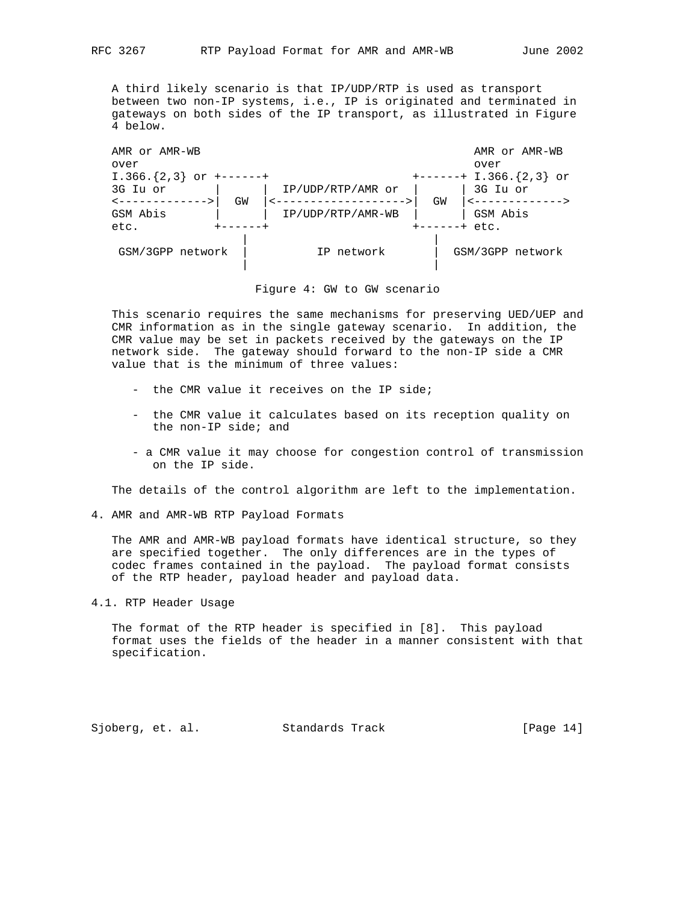A third likely scenario is that IP/UDP/RTP is used as transport between two non-IP systems, i.e., IP is originated and terminated in gateways on both sides of the IP transport, as illustrated in Figure 4 below.



#### Figure 4: GW to GW scenario

 This scenario requires the same mechanisms for preserving UED/UEP and CMR information as in the single gateway scenario. In addition, the CMR value may be set in packets received by the gateways on the IP network side. The gateway should forward to the non-IP side a CMR value that is the minimum of three values:

- the CMR value it receives on the IP side;
- the CMR value it calculates based on its reception quality on the non-IP side; and
- a CMR value it may choose for congestion control of transmission on the IP side.

The details of the control algorithm are left to the implementation.

4. AMR and AMR-WB RTP Payload Formats

 The AMR and AMR-WB payload formats have identical structure, so they are specified together. The only differences are in the types of codec frames contained in the payload. The payload format consists of the RTP header, payload header and payload data.

4.1. RTP Header Usage

 The format of the RTP header is specified in [8]. This payload format uses the fields of the header in a manner consistent with that specification.

Sjoberg, et. al. Standards Track [Page 14]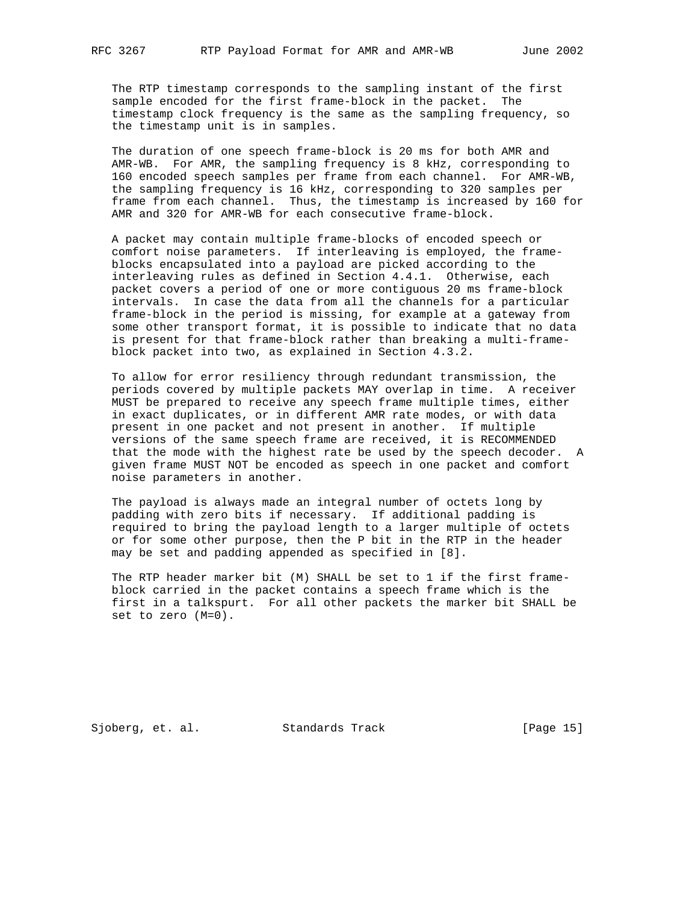The RTP timestamp corresponds to the sampling instant of the first sample encoded for the first frame-block in the packet. The timestamp clock frequency is the same as the sampling frequency, so the timestamp unit is in samples.

 The duration of one speech frame-block is 20 ms for both AMR and AMR-WB. For AMR, the sampling frequency is 8 kHz, corresponding to 160 encoded speech samples per frame from each channel. For AMR-WB, the sampling frequency is 16 kHz, corresponding to 320 samples per frame from each channel. Thus, the timestamp is increased by 160 for AMR and 320 for AMR-WB for each consecutive frame-block.

 A packet may contain multiple frame-blocks of encoded speech or comfort noise parameters. If interleaving is employed, the frame blocks encapsulated into a payload are picked according to the interleaving rules as defined in Section 4.4.1. Otherwise, each packet covers a period of one or more contiguous 20 ms frame-block intervals. In case the data from all the channels for a particular frame-block in the period is missing, for example at a gateway from some other transport format, it is possible to indicate that no data is present for that frame-block rather than breaking a multi-frame block packet into two, as explained in Section 4.3.2.

 To allow for error resiliency through redundant transmission, the periods covered by multiple packets MAY overlap in time. A receiver MUST be prepared to receive any speech frame multiple times, either in exact duplicates, or in different AMR rate modes, or with data present in one packet and not present in another. If multiple versions of the same speech frame are received, it is RECOMMENDED that the mode with the highest rate be used by the speech decoder. A given frame MUST NOT be encoded as speech in one packet and comfort noise parameters in another.

 The payload is always made an integral number of octets long by padding with zero bits if necessary. If additional padding is required to bring the payload length to a larger multiple of octets or for some other purpose, then the P bit in the RTP in the header may be set and padding appended as specified in [8].

 The RTP header marker bit (M) SHALL be set to 1 if the first frame block carried in the packet contains a speech frame which is the first in a talkspurt. For all other packets the marker bit SHALL be set to zero (M=0).

Sjoberg, et. al. Standards Track [Page 15]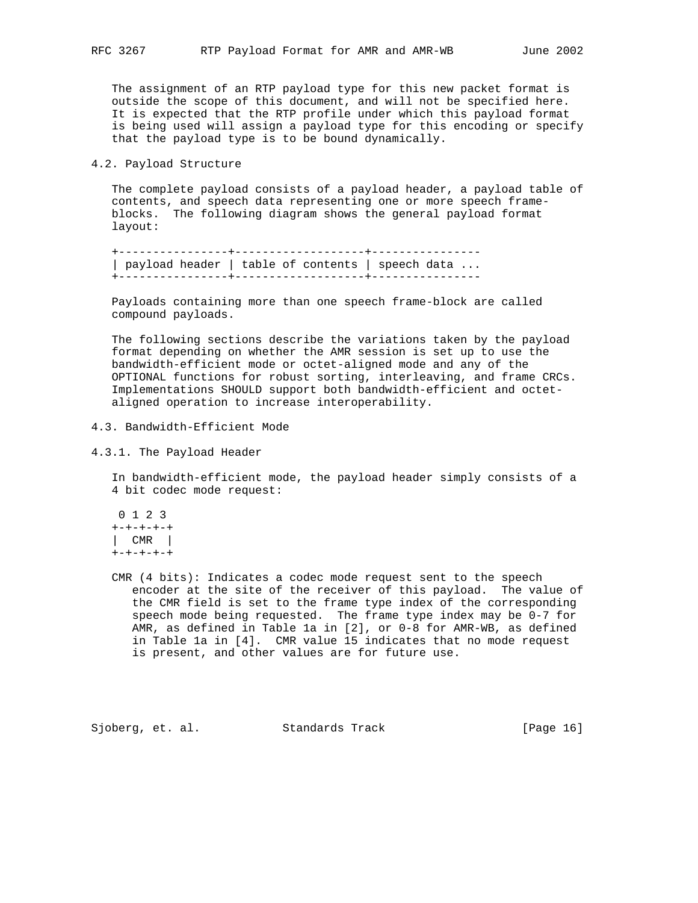The assignment of an RTP payload type for this new packet format is outside the scope of this document, and will not be specified here. It is expected that the RTP profile under which this payload format is being used will assign a payload type for this encoding or specify that the payload type is to be bound dynamically.

#### 4.2. Payload Structure

 The complete payload consists of a payload header, a payload table of contents, and speech data representing one or more speech frame blocks. The following diagram shows the general payload format layout:

 +----------------+-------------------+---------------- | payload header | table of contents | speech data ... +----------------+-------------------+----------------

 Payloads containing more than one speech frame-block are called compound payloads.

 The following sections describe the variations taken by the payload format depending on whether the AMR session is set up to use the bandwidth-efficient mode or octet-aligned mode and any of the OPTIONAL functions for robust sorting, interleaving, and frame CRCs. Implementations SHOULD support both bandwidth-efficient and octet aligned operation to increase interoperability.

4.3. Bandwidth-Efficient Mode

4.3.1. The Payload Header

 In bandwidth-efficient mode, the payload header simply consists of a 4 bit codec mode request:

 0 1 2 3 +-+-+-+-+ | CMR | +-+-+-+-+

 CMR (4 bits): Indicates a codec mode request sent to the speech encoder at the site of the receiver of this payload. The value of the CMR field is set to the frame type index of the corresponding speech mode being requested. The frame type index may be 0-7 for AMR, as defined in Table 1a in [2], or 0-8 for AMR-WB, as defined in Table 1a in [4]. CMR value 15 indicates that no mode request is present, and other values are for future use.

Sjoberg, et. al. Standards Track [Page 16]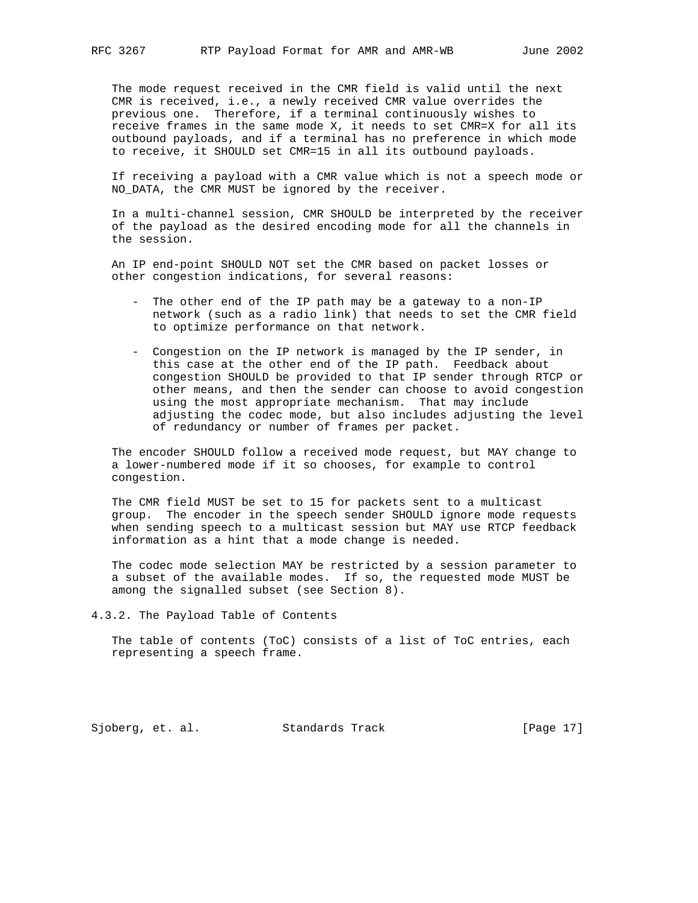The mode request received in the CMR field is valid until the next CMR is received, i.e., a newly received CMR value overrides the previous one. Therefore, if a terminal continuously wishes to receive frames in the same mode X, it needs to set CMR=X for all its outbound payloads, and if a terminal has no preference in which mode to receive, it SHOULD set CMR=15 in all its outbound payloads.

 If receiving a payload with a CMR value which is not a speech mode or NO\_DATA, the CMR MUST be ignored by the receiver.

 In a multi-channel session, CMR SHOULD be interpreted by the receiver of the payload as the desired encoding mode for all the channels in the session.

 An IP end-point SHOULD NOT set the CMR based on packet losses or other congestion indications, for several reasons:

- The other end of the IP path may be a gateway to a non-IP network (such as a radio link) that needs to set the CMR field to optimize performance on that network.
- Congestion on the IP network is managed by the IP sender, in this case at the other end of the IP path. Feedback about congestion SHOULD be provided to that IP sender through RTCP or other means, and then the sender can choose to avoid congestion using the most appropriate mechanism. That may include adjusting the codec mode, but also includes adjusting the level of redundancy or number of frames per packet.

 The encoder SHOULD follow a received mode request, but MAY change to a lower-numbered mode if it so chooses, for example to control congestion.

 The CMR field MUST be set to 15 for packets sent to a multicast group. The encoder in the speech sender SHOULD ignore mode requests when sending speech to a multicast session but MAY use RTCP feedback information as a hint that a mode change is needed.

 The codec mode selection MAY be restricted by a session parameter to a subset of the available modes. If so, the requested mode MUST be among the signalled subset (see Section 8).

4.3.2. The Payload Table of Contents

 The table of contents (ToC) consists of a list of ToC entries, each representing a speech frame.

Sjoberg, et. al. Standards Track [Page 17]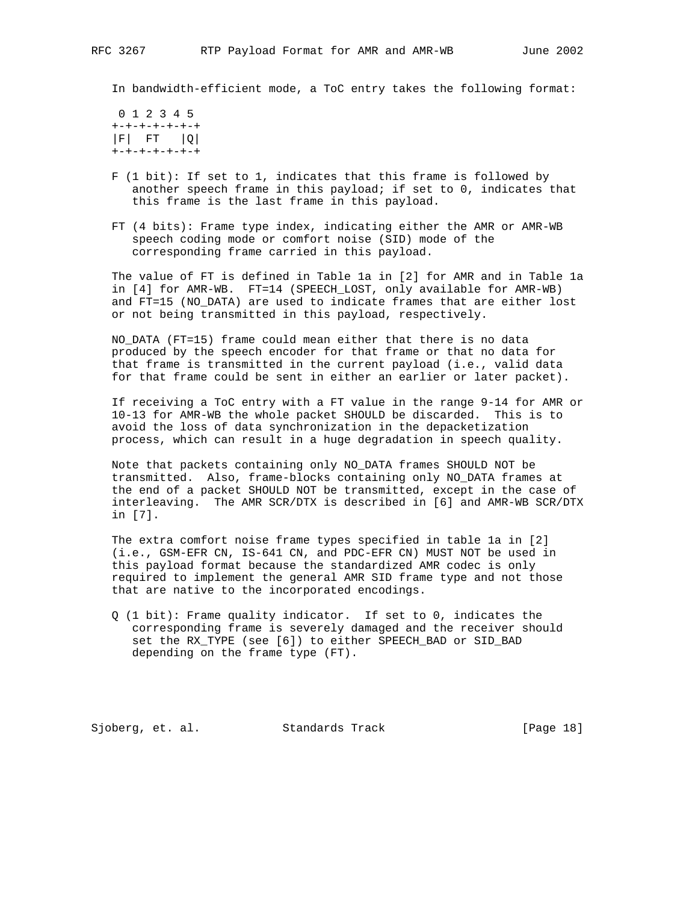In bandwidth-efficient mode, a ToC entry takes the following format:

 0 1 2 3 4 5 +-+-+-+-+-+-+  $|F|$  FT  $|Q|$ +-+-+-+-+-+-+

- F (1 bit): If set to 1, indicates that this frame is followed by another speech frame in this payload; if set to 0, indicates that this frame is the last frame in this payload.
- FT (4 bits): Frame type index, indicating either the AMR or AMR-WB speech coding mode or comfort noise (SID) mode of the corresponding frame carried in this payload.

 The value of FT is defined in Table 1a in [2] for AMR and in Table 1a in [4] for AMR-WB. FT=14 (SPEECH\_LOST, only available for AMR-WB) and FT=15 (NO\_DATA) are used to indicate frames that are either lost or not being transmitted in this payload, respectively.

 NO\_DATA (FT=15) frame could mean either that there is no data produced by the speech encoder for that frame or that no data for that frame is transmitted in the current payload (i.e., valid data for that frame could be sent in either an earlier or later packet).

 If receiving a ToC entry with a FT value in the range 9-14 for AMR or 10-13 for AMR-WB the whole packet SHOULD be discarded. This is to avoid the loss of data synchronization in the depacketization process, which can result in a huge degradation in speech quality.

 Note that packets containing only NO\_DATA frames SHOULD NOT be transmitted. Also, frame-blocks containing only NO\_DATA frames at the end of a packet SHOULD NOT be transmitted, except in the case of interleaving. The AMR SCR/DTX is described in [6] and AMR-WB SCR/DTX in [7].

 The extra comfort noise frame types specified in table 1a in [2] (i.e., GSM-EFR CN, IS-641 CN, and PDC-EFR CN) MUST NOT be used in this payload format because the standardized AMR codec is only required to implement the general AMR SID frame type and not those that are native to the incorporated encodings.

 Q (1 bit): Frame quality indicator. If set to 0, indicates the corresponding frame is severely damaged and the receiver should set the RX\_TYPE (see [6]) to either SPEECH\_BAD or SID\_BAD depending on the frame type (FT).

Sjoberg, et. al. Standards Track [Page 18]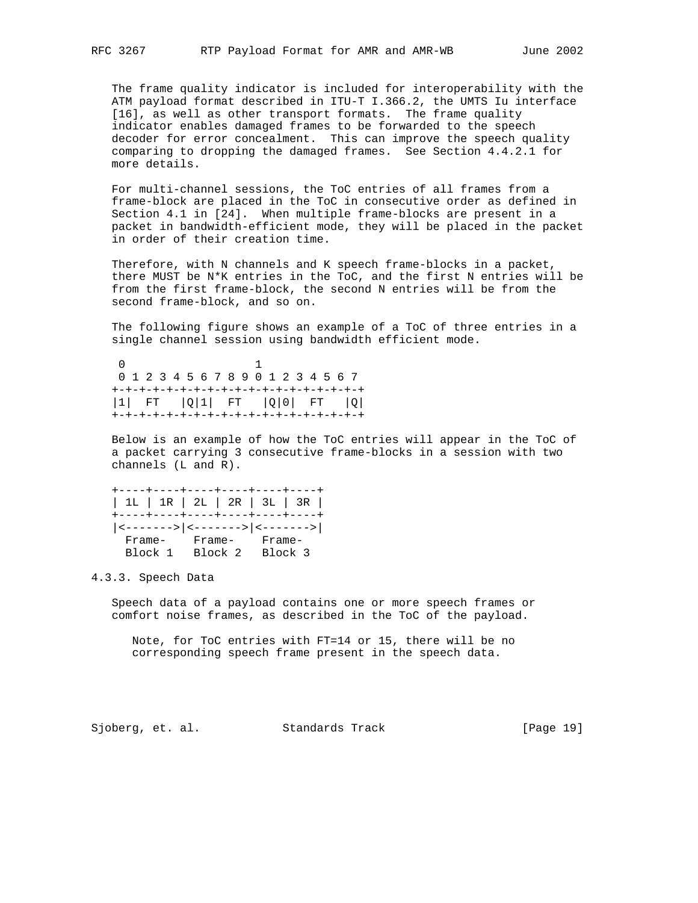The frame quality indicator is included for interoperability with the ATM payload format described in ITU-T I.366.2, the UMTS Iu interface [16], as well as other transport formats. The frame quality indicator enables damaged frames to be forwarded to the speech decoder for error concealment. This can improve the speech quality comparing to dropping the damaged frames. See Section 4.4.2.1 for more details.

 For multi-channel sessions, the ToC entries of all frames from a frame-block are placed in the ToC in consecutive order as defined in Section 4.1 in [24]. When multiple frame-blocks are present in a packet in bandwidth-efficient mode, they will be placed in the packet in order of their creation time.

 Therefore, with N channels and K speech frame-blocks in a packet, there MUST be N\*K entries in the ToC, and the first N entries will be from the first frame-block, the second N entries will be from the second frame-block, and so on.

 The following figure shows an example of a ToC of three entries in a single channel session using bandwidth efficient mode.

 0 1 0 1 2 3 4 5 6 7 8 9 0 1 2 3 4 5 6 7 +-+-+-+-+-+-+-+-+-+-+-+-+-+-+-+-+-+-+ |1| FT |Q|1| FT |Q|0| FT |Q| +-+-+-+-+-+-+-+-+-+-+-+-+-+-+-+-+-+-+

 Below is an example of how the ToC entries will appear in the ToC of a packet carrying 3 consecutive frame-blocks in a session with two channels (L and R).

 +----+----+----+----+----+----+ | 1L | 1R | 2L | 2R | 3L | 3R | +----+----+----+----+----+----+ |<------->|<------->|<------->| Frame- Frame- Frame- Block 1 Block 2 Block 3

4.3.3. Speech Data

 Speech data of a payload contains one or more speech frames or comfort noise frames, as described in the ToC of the payload.

 Note, for ToC entries with FT=14 or 15, there will be no corresponding speech frame present in the speech data.

Sjoberg, et. al. Standards Track [Page 19]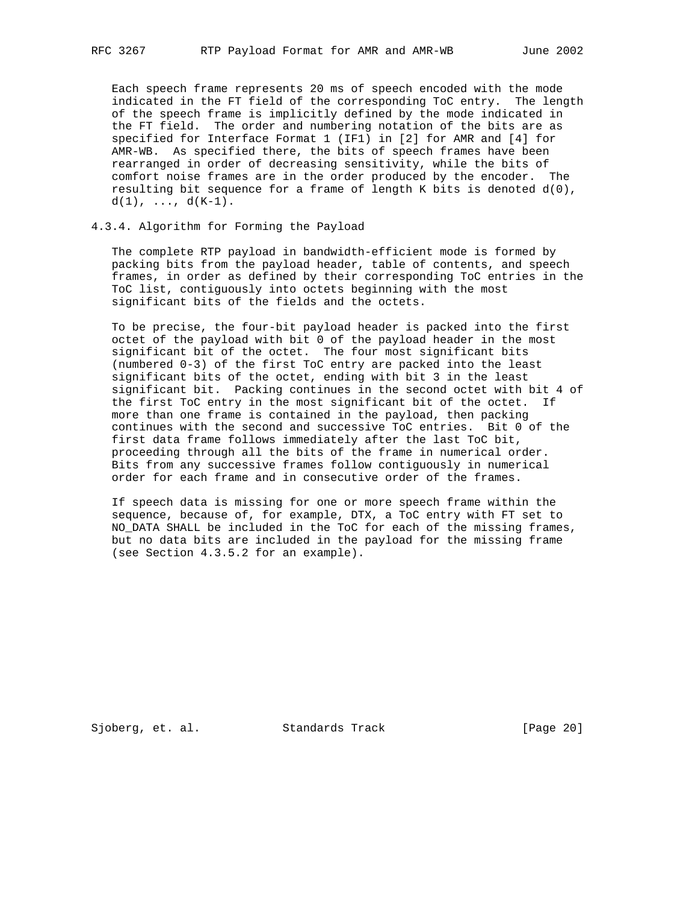Each speech frame represents 20 ms of speech encoded with the mode indicated in the FT field of the corresponding ToC entry. The length of the speech frame is implicitly defined by the mode indicated in the FT field. The order and numbering notation of the bits are as specified for Interface Format 1 (IF1) in [2] for AMR and [4] for AMR-WB. As specified there, the bits of speech frames have been rearranged in order of decreasing sensitivity, while the bits of comfort noise frames are in the order produced by the encoder. The resulting bit sequence for a frame of length K bits is denoted  $d(0)$ ,  $d(1), \ldots, d(K-1).$ 

# 4.3.4. Algorithm for Forming the Payload

 The complete RTP payload in bandwidth-efficient mode is formed by packing bits from the payload header, table of contents, and speech frames, in order as defined by their corresponding ToC entries in the ToC list, contiguously into octets beginning with the most significant bits of the fields and the octets.

 To be precise, the four-bit payload header is packed into the first octet of the payload with bit 0 of the payload header in the most significant bit of the octet. The four most significant bits (numbered 0-3) of the first ToC entry are packed into the least significant bits of the octet, ending with bit 3 in the least significant bit. Packing continues in the second octet with bit 4 of the first ToC entry in the most significant bit of the octet. If more than one frame is contained in the payload, then packing continues with the second and successive ToC entries. Bit 0 of the first data frame follows immediately after the last ToC bit, proceeding through all the bits of the frame in numerical order. Bits from any successive frames follow contiguously in numerical order for each frame and in consecutive order of the frames.

 If speech data is missing for one or more speech frame within the sequence, because of, for example, DTX, a ToC entry with FT set to NO\_DATA SHALL be included in the ToC for each of the missing frames, but no data bits are included in the payload for the missing frame (see Section 4.3.5.2 for an example).

Sjoberg, et. al. Standards Track [Page 20]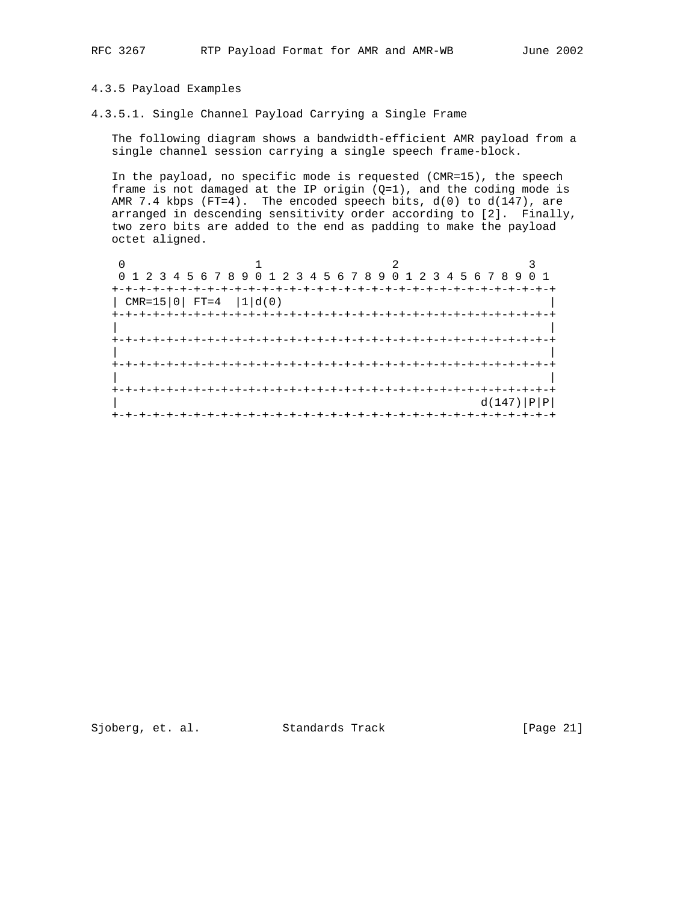# 4.3.5 Payload Examples

4.3.5.1. Single Channel Payload Carrying a Single Frame

 The following diagram shows a bandwidth-efficient AMR payload from a single channel session carrying a single speech frame-block.

 In the payload, no specific mode is requested (CMR=15), the speech frame is not damaged at the IP origin (Q=1), and the coding mode is AMR 7.4 kbps  $(FT=4)$ . The encoded speech bits,  $d(0)$  to  $d(147)$ , are arranged in descending sensitivity order according to [2]. Finally, two zero bits are added to the end as padding to make the payload octet aligned.

|                      | 0 1 2 3 4 5 6 7 8 9 0 1 2 3 4 5 6 7 8 9 0 1 2 3 4 5 6 7 8 9 0 1 |  |  |  |  |  |  |  |  |  |  |  |  |             |
|----------------------|-----------------------------------------------------------------|--|--|--|--|--|--|--|--|--|--|--|--|-------------|
| <b>+-+-+-+-+-+-+</b> | $CMR = 15   0   FT = 4   1   d(0)$                              |  |  |  |  |  |  |  |  |  |  |  |  |             |
|                      |                                                                 |  |  |  |  |  |  |  |  |  |  |  |  |             |
|                      |                                                                 |  |  |  |  |  |  |  |  |  |  |  |  |             |
|                      |                                                                 |  |  |  |  |  |  |  |  |  |  |  |  |             |
|                      |                                                                 |  |  |  |  |  |  |  |  |  |  |  |  | d(147)  P P |
|                      |                                                                 |  |  |  |  |  |  |  |  |  |  |  |  |             |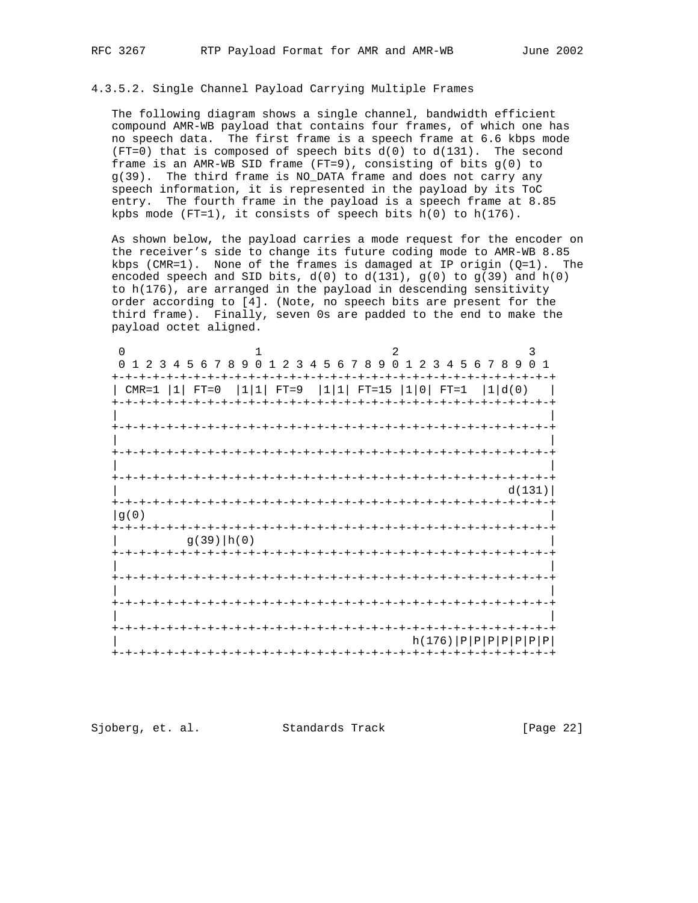# 4.3.5.2. Single Channel Payload Carrying Multiple Frames

 The following diagram shows a single channel, bandwidth efficient compound AMR-WB payload that contains four frames, of which one has no speech data. The first frame is a speech frame at 6.6 kbps mode (FT=0) that is composed of speech bits  $d(0)$  to  $d(131)$ . The second frame is an AMR-WB SID frame  $(FT=9)$ , consisting of bits  $g(0)$  to g(39). The third frame is NO\_DATA frame and does not carry any speech information, it is represented in the payload by its ToC entry. The fourth frame in the payload is a speech frame at 8.85 kpbs mode (FT=1), it consists of speech bits h(0) to h(176).

 As shown below, the payload carries a mode request for the encoder on the receiver's side to change its future coding mode to AMR-WB 8.85 kbps (CMR=1). None of the frames is damaged at IP origin  $(Q=1)$ . The encoded speech and SID bits,  $d(0)$  to  $d(131)$ ,  $g(0)$  to  $g(39)$  and  $h(0)$  to h(176), are arranged in the payload in descending sensitivity order according to [4]. (Note, no speech bits are present for the third frame). Finally, seven 0s are padded to the end to make the payload octet aligned.

| $\cap$                  |                                       |                                                   | 2                     | 3                                   |
|-------------------------|---------------------------------------|---------------------------------------------------|-----------------------|-------------------------------------|
| $\Omega$                | 1 2 3 4 5 6 7 8 9 0<br>$\overline{1}$ | 2 3 4 5 6 7 8 9 0                                 | $\overline{1}$        | 2 3 4 5 6 7 8 9 0<br>$\overline{1}$ |
| $+ \cdot$               |                                       |                                                   |                       |                                     |
| $ 1 $ FT=0<br>$CMR = 1$ |                                       | $ 1 1 $ FT=9 $ 1 1 $ FT=15 $ 1 0 $ FT=1 $ 1 d(0)$ |                       |                                     |
|                         |                                       |                                                   |                       |                                     |
|                         |                                       |                                                   |                       |                                     |
|                         |                                       |                                                   |                       |                                     |
|                         |                                       |                                                   |                       |                                     |
|                         |                                       |                                                   |                       | -+-+-+-+-+-+-+-+-+-+-+<br>d(131)    |
|                         |                                       |                                                   |                       |                                     |
| lg(0)                   |                                       |                                                   |                       |                                     |
| +-+-+-+-+-+-+           |                                       |                                                   |                       |                                     |
|                         | $g(39)$   h(0)                        |                                                   |                       |                                     |
|                         |                                       |                                                   |                       |                                     |
|                         |                                       |                                                   |                       |                                     |
|                         |                                       |                                                   |                       |                                     |
|                         |                                       |                                                   |                       |                                     |
|                         |                                       |                                                   |                       |                                     |
|                         |                                       |                                                   |                       |                                     |
|                         |                                       |                                                   |                       | $h(176)  P P P P P P P P $          |
|                         |                                       |                                                   | +-+-+-+-+-+-+-+-+-+-+ |                                     |

Sjoberg, et. al. Standards Track [Page 22]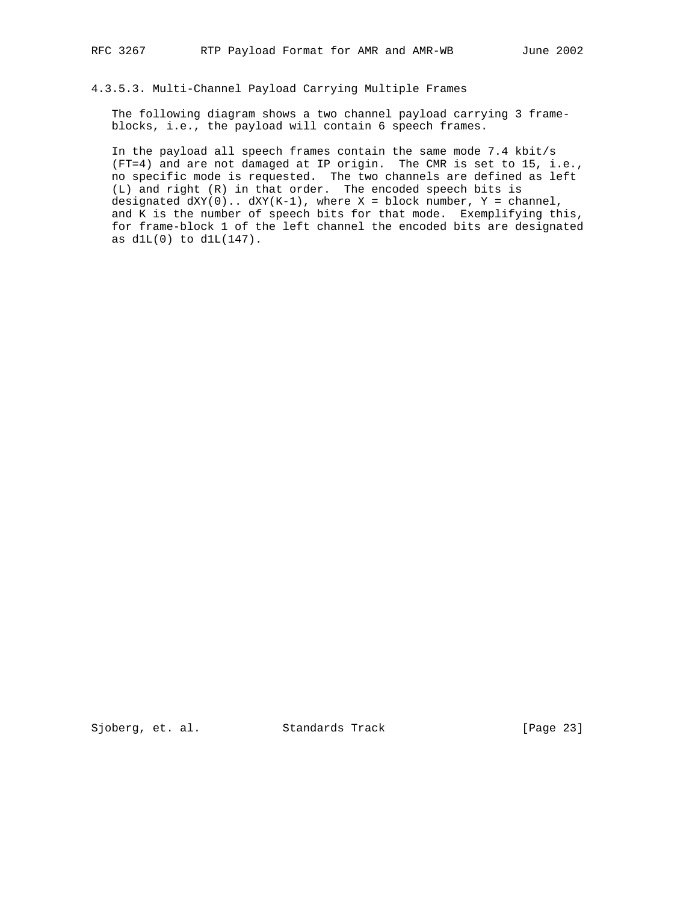# 4.3.5.3. Multi-Channel Payload Carrying Multiple Frames

 The following diagram shows a two channel payload carrying 3 frame blocks, i.e., the payload will contain 6 speech frames.

 In the payload all speech frames contain the same mode 7.4 kbit/s (FT=4) and are not damaged at IP origin. The CMR is set to 15, i.e., no specific mode is requested. The two channels are defined as left (L) and right (R) in that order. The encoded speech bits is designated  $dXY(0)$ ..  $dXY(K-1)$ , where  $X = block number$ ,  $Y = channel$ , and K is the number of speech bits for that mode. Exemplifying this, for frame-block 1 of the left channel the encoded bits are designated as  $d1L(0)$  to  $d1L(147)$ .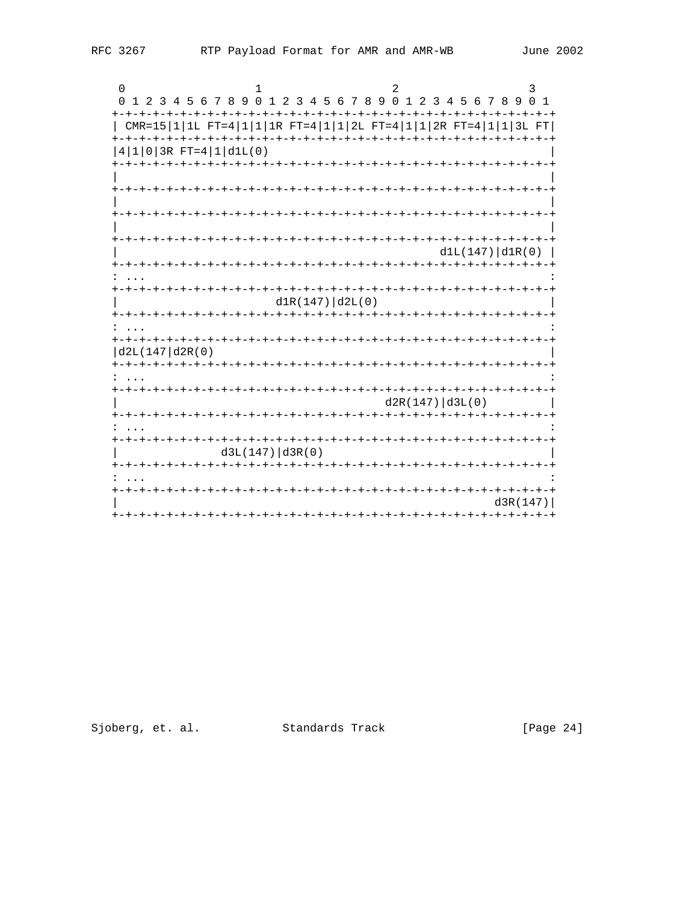| 0                                                                               |                   |                                   |                                  |             |
|---------------------------------------------------------------------------------|-------------------|-----------------------------------|----------------------------------|-------------|
| 1 2 3 4 5 6 7 8 9 0 1 2 3 4 5 6 7 8 9 0 1 2 3 4 5 6 7 8 9 0 1<br>0              |                   |                                   |                                  |             |
|                                                                                 |                   |                                   |                                  |             |
| $CMR = 15  1 1L FT = 4  1 1 1R FT = 4  1 1 2L FT = 4  1 1 2R FT = 4  1 1 3L FT$ |                   |                                   |                                  |             |
|                                                                                 |                   |                                   |                                  |             |
| $ 4 1 0 3R$ FT= $4 1 d1L(0)$                                                    |                   |                                   |                                  |             |
|                                                                                 |                   |                                   |                                  |             |
|                                                                                 |                   |                                   |                                  |             |
|                                                                                 |                   |                                   | -+-+-+-+-+-+-+-+-+               |             |
|                                                                                 |                   |                                   |                                  |             |
|                                                                                 |                   |                                   | -+-+-+-+-+-+-+                   |             |
|                                                                                 |                   |                                   |                                  |             |
|                                                                                 |                   |                                   | +-+-+-+-+-+-+-+-+-+-+-+-+-+-+-+- |             |
|                                                                                 |                   |                                   | d1L(147)  d1R(0)                 |             |
|                                                                                 |                   |                                   |                                  |             |
|                                                                                 |                   |                                   |                                  |             |
|                                                                                 |                   |                                   |                                  |             |
|                                                                                 | d1R(147)   d2L(0) |                                   |                                  |             |
|                                                                                 |                   | -+-+-+-+-+-+-+-+-+-+-+            |                                  |             |
|                                                                                 |                   |                                   |                                  |             |
|                                                                                 |                   | -+-+-+-+-+-+-+                    |                                  |             |
| d2L(147 d2R(0))                                                                 |                   |                                   |                                  |             |
| +-+-+-+-+-+-+-+-+-+-+-+-+-+-+-+-                                                |                   |                                   |                                  |             |
|                                                                                 |                   |                                   |                                  |             |
|                                                                                 |                   |                                   | d2R(147)   d3L(0)                |             |
|                                                                                 |                   |                                   |                                  | キーキーキーキーキーキ |
|                                                                                 | ーナーナーナーナーナ        |                                   |                                  |             |
| $+ - + - + - + - +$                                                             |                   | -+-+-+-+-+-+-+-+-+-+-+-+-+-+-+-+- | -+-+-+-+-+-+-+-+-+               |             |
|                                                                                 | d3L(147)   d3R(0) |                                   |                                  |             |
|                                                                                 |                   |                                   |                                  |             |
|                                                                                 |                   |                                   |                                  |             |
|                                                                                 |                   |                                   |                                  |             |
|                                                                                 |                   |                                   |                                  |             |
|                                                                                 |                   |                                   |                                  | d3R(147)    |
|                                                                                 |                   |                                   |                                  |             |

Sjoberg, et. al. Standards Track

[Page 24]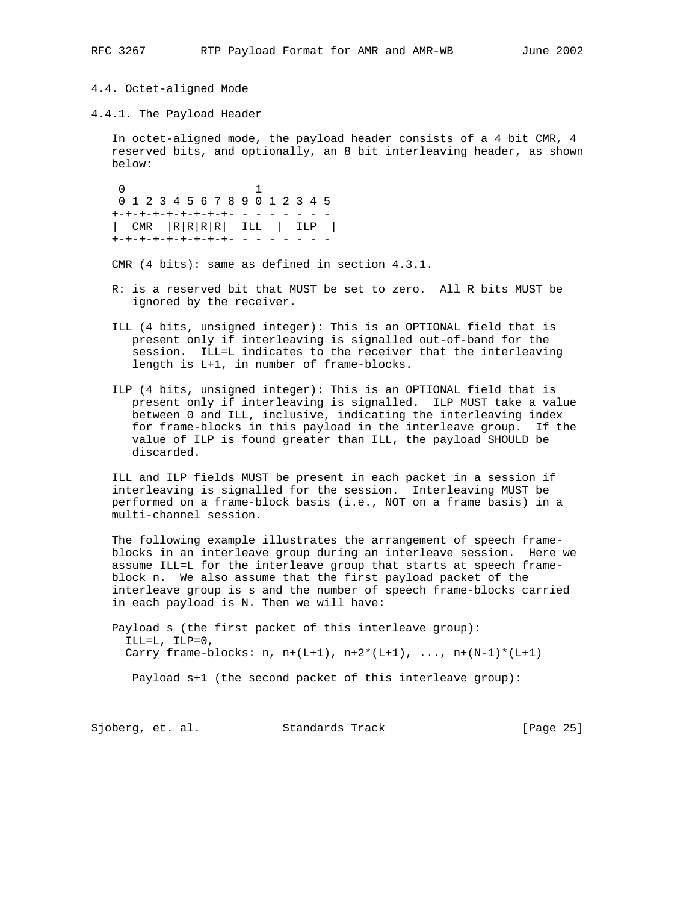# 4.4. Octet-aligned Mode

4.4.1. The Payload Header

 In octet-aligned mode, the payload header consists of a 4 bit CMR, 4 reserved bits, and optionally, an 8 bit interleaving header, as shown below:

 0 1 0 1 2 3 4 5 6 7 8 9 0 1 2 3 4 5 +-+-+-+-+-+-+-+-+- - - - - - - - | CMR |R|R|R|R| ILL | ILP | +-+-+-+-+-+-+-+-+- - - - - - - -

CMR (4 bits): same as defined in section 4.3.1.

- R: is a reserved bit that MUST be set to zero. All R bits MUST be ignored by the receiver.
- ILL (4 bits, unsigned integer): This is an OPTIONAL field that is present only if interleaving is signalled out-of-band for the session. ILL=L indicates to the receiver that the interleaving length is L+1, in number of frame-blocks.
- ILP (4 bits, unsigned integer): This is an OPTIONAL field that is present only if interleaving is signalled. ILP MUST take a value between 0 and ILL, inclusive, indicating the interleaving index for frame-blocks in this payload in the interleave group. If the value of ILP is found greater than ILL, the payload SHOULD be discarded.

 ILL and ILP fields MUST be present in each packet in a session if interleaving is signalled for the session. Interleaving MUST be performed on a frame-block basis (i.e., NOT on a frame basis) in a multi-channel session.

 The following example illustrates the arrangement of speech frame blocks in an interleave group during an interleave session. Here we assume ILL=L for the interleave group that starts at speech frame block n. We also assume that the first payload packet of the interleave group is s and the number of speech frame-blocks carried in each payload is N. Then we will have:

 Payload s (the first packet of this interleave group): ILL=L, ILP=0, Carry frame-blocks:  $n, n+(L+1), n+2*(L+1), ..., n+(N-1)*(L+1)$ 

Payload s+1 (the second packet of this interleave group):

Sjoberg, et. al. Standards Track [Page 25]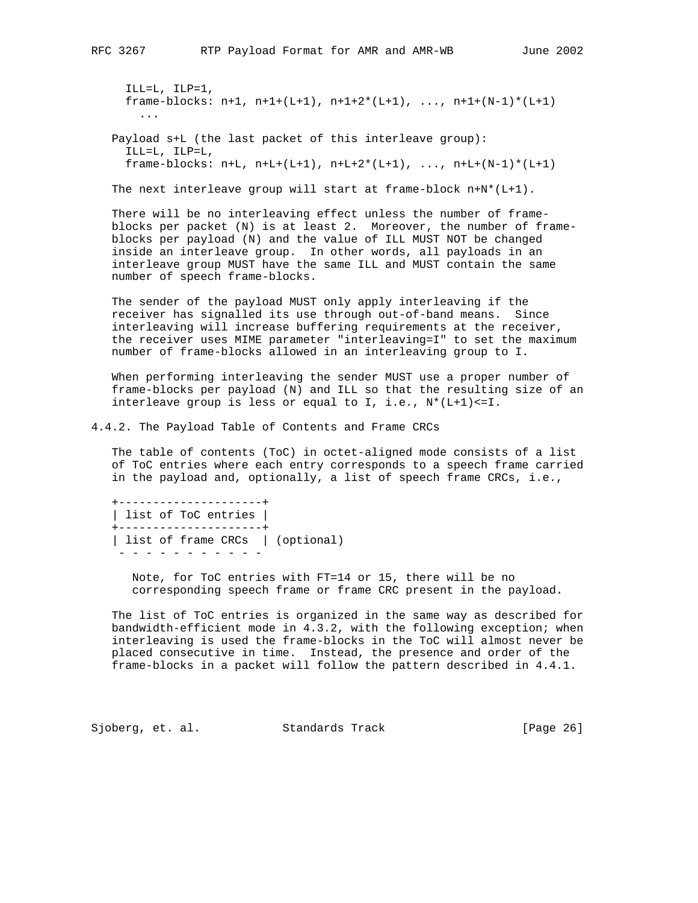ILL=L, ILP=1, frame-blocks:  $n+1$ ,  $n+1+(L+1)$ ,  $n+1+2*(L+1)$ , ...,  $n+1+(N-1)*(L+1)$  ... Payload s+L (the last packet of this interleave group):

 ILL=L, ILP=L, frame-blocks:  $n+L$ ,  $n+L+(L+1)$ ,  $n+L+2*(L+1)$ , ...,  $n+L+(N-1)*(L+1)$ 

The next interleave group will start at frame-block  $n+N*(L+1)$ .

 There will be no interleaving effect unless the number of frame blocks per packet (N) is at least 2. Moreover, the number of frame blocks per payload (N) and the value of ILL MUST NOT be changed inside an interleave group. In other words, all payloads in an interleave group MUST have the same ILL and MUST contain the same number of speech frame-blocks.

 The sender of the payload MUST only apply interleaving if the receiver has signalled its use through out-of-band means. Since interleaving will increase buffering requirements at the receiver, the receiver uses MIME parameter "interleaving=I" to set the maximum number of frame-blocks allowed in an interleaving group to I.

 When performing interleaving the sender MUST use a proper number of frame-blocks per payload (N) and ILL so that the resulting size of an interleave group is less or equal to I, i.e., N\*(L+1)<=I.

4.4.2. The Payload Table of Contents and Frame CRCs

 The table of contents (ToC) in octet-aligned mode consists of a list of ToC entries where each entry corresponds to a speech frame carried in the payload and, optionally, a list of speech frame CRCs, i.e.,

 +---------------------+ | list of ToC entries | +---------------------+ | list of frame CRCs | (optional) - - - - - - - - - - -

 Note, for ToC entries with FT=14 or 15, there will be no corresponding speech frame or frame CRC present in the payload.

 The list of ToC entries is organized in the same way as described for bandwidth-efficient mode in 4.3.2, with the following exception; when interleaving is used the frame-blocks in the ToC will almost never be placed consecutive in time. Instead, the presence and order of the frame-blocks in a packet will follow the pattern described in 4.4.1.

Sjoberg, et. al. Standards Track [Page 26]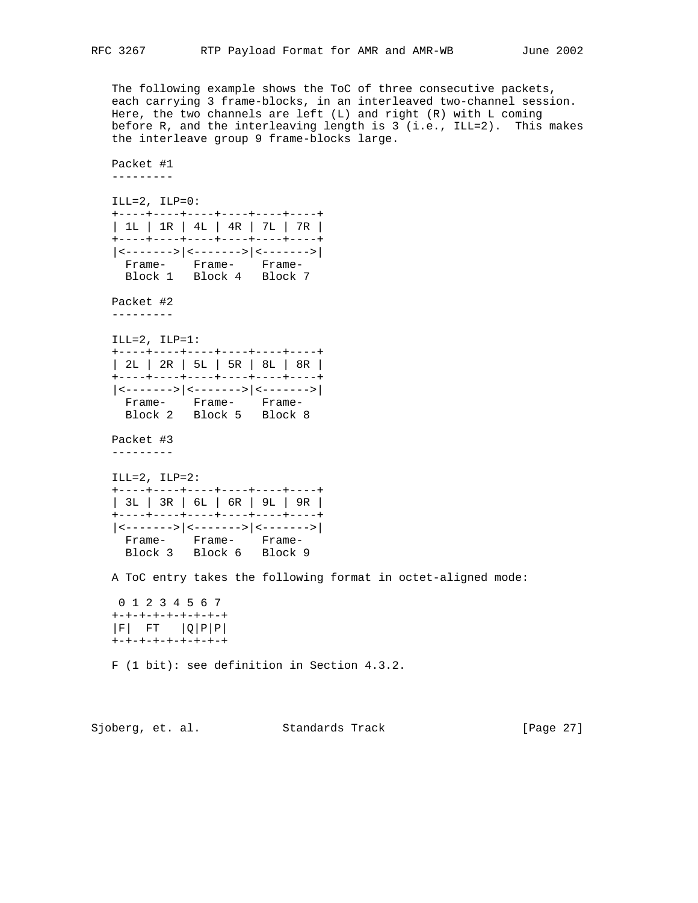The following example shows the ToC of three consecutive packets, each carrying 3 frame-blocks, in an interleaved two-channel session. Here, the two channels are left (L) and right (R) with L coming before R, and the interleaving length is 3 (i.e., ILL=2). This makes the interleave group 9 frame-blocks large.

 Packet #1 ---------  $ILL=2$ ,  $ILP=0$ : +----+----+----+----+----+----+ | 1L | 1R | 4L | 4R | 7L | 7R | +----+----+----+----+----+----+ |<------->|<------->|<------->| Frame- Frame- Frame- Block 1 Block 4 Block 7 Packet #2 ---------  $ILL=2$ ,  $ILP=1$ : +----+----+----+----+----+----+ | 2L | 2R | 5L | 5R | 8L | 8R | +----+----+----+----+----+----+ |<------->|<------->|<------->| Frame- Frame- Frame- Block 2 Block 5 Block 8 Packet #3 --------- ILL=2, ILP=2: +----+----+----+----+----+----+ | 3L | 3R | 6L | 6R | 9L | 9R | +----+----+----+----+----+----+ |<------->|<------->|<------->| Frame- Frame- Frame- Block 3 Block 6 Block 9 A ToC entry takes the following format in octet-aligned mode: 0 1 2 3 4 5 6 7 +-+-+-+-+-+-+-+-+ |F| FT |Q|P|P| +-+-+-+-+-+-+-+-+ F (1 bit): see definition in Section 4.3.2.

Sjoberg, et. al. Standards Track [Page 27]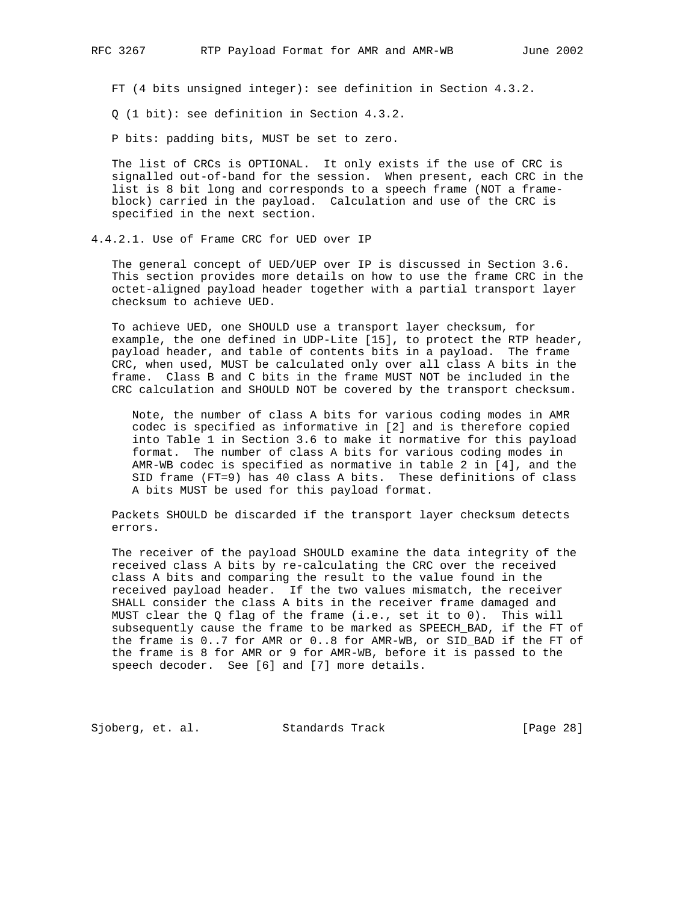FT (4 bits unsigned integer): see definition in Section 4.3.2.

Q (1 bit): see definition in Section 4.3.2.

P bits: padding bits, MUST be set to zero.

 The list of CRCs is OPTIONAL. It only exists if the use of CRC is signalled out-of-band for the session. When present, each CRC in the list is 8 bit long and corresponds to a speech frame (NOT a frame block) carried in the payload. Calculation and use of the CRC is specified in the next section.

4.4.2.1. Use of Frame CRC for UED over IP

 The general concept of UED/UEP over IP is discussed in Section 3.6. This section provides more details on how to use the frame CRC in the octet-aligned payload header together with a partial transport layer checksum to achieve UED.

 To achieve UED, one SHOULD use a transport layer checksum, for example, the one defined in UDP-Lite [15], to protect the RTP header, payload header, and table of contents bits in a payload. The frame CRC, when used, MUST be calculated only over all class A bits in the frame. Class B and C bits in the frame MUST NOT be included in the CRC calculation and SHOULD NOT be covered by the transport checksum.

 Note, the number of class A bits for various coding modes in AMR codec is specified as informative in [2] and is therefore copied into Table 1 in Section 3.6 to make it normative for this payload format. The number of class A bits for various coding modes in AMR-WB codec is specified as normative in table 2 in [4], and the SID frame (FT=9) has 40 class A bits. These definitions of class A bits MUST be used for this payload format.

 Packets SHOULD be discarded if the transport layer checksum detects errors.

 The receiver of the payload SHOULD examine the data integrity of the received class A bits by re-calculating the CRC over the received class A bits and comparing the result to the value found in the received payload header. If the two values mismatch, the receiver SHALL consider the class A bits in the receiver frame damaged and MUST clear the Q flag of the frame (i.e., set it to 0). This will subsequently cause the frame to be marked as SPEECH\_BAD, if the FT of the frame is 0..7 for AMR or 0..8 for AMR-WB, or SID\_BAD if the FT of the frame is 8 for AMR or 9 for AMR-WB, before it is passed to the speech decoder. See [6] and [7] more details.

Sjoberg, et. al. Standards Track [Page 28]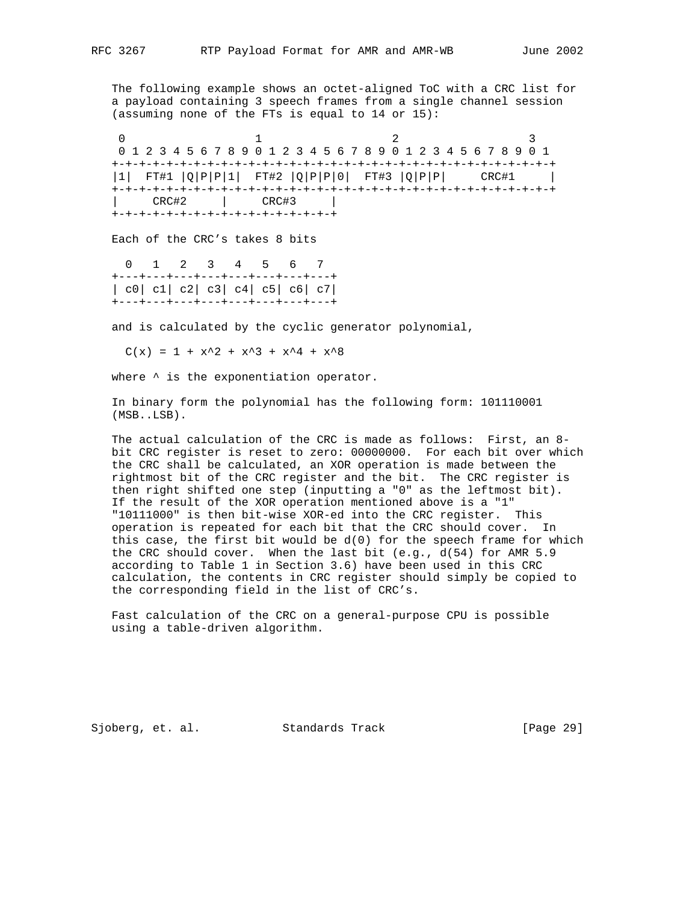The following example shows an octet-aligned ToC with a CRC list for a payload containing 3 speech frames from a single channel session (assuming none of the FTs is equal to 14 or 15):

0  $1$  2 3 0 1 2 3 4 5 6 7 8 9 0 1 2 3 4 5 6 7 8 9 0 1 2 3 4 5 6 7 8 9 0 1 +-+-+-+-+-+-+-+-+-+-+-+-+-+-+-+-+-+-+-+-+-+-+-+-+-+-+-+-+-+-+-+-+ |1| FT#1 |Q|P|P|1| FT#2 |Q|P|P|0| FT#3 |Q|P|P| CRC#1 | +-+-+-+-+-+-+-+-+-+-+-+-+-+-+-+-+-+-+-+-+-+-+-+-+-+-+-+-+-+-+-+-+ | CRC#2 | CRC#3 | +-+-+-+-+-+-+-+-+-+-+-+-+-+-+-+-+

Each of the CRC's takes 8 bits

 0 1 2 3 4 5 6 7 +---+---+---+---+---+---+---+---+ | c0| c1| c2| c3| c4| c5| c6| c7| +---+---+---+---+---+---+---+---+

and is calculated by the cyclic generator polynomial,

 $C(x) = 1 + x^2 + x^3 + x^4 + x^8$ 

where  $\wedge$  is the exponentiation operator.

 In binary form the polynomial has the following form: 101110001 (MSB..LSB).

 The actual calculation of the CRC is made as follows: First, an 8 bit CRC register is reset to zero: 00000000. For each bit over which the CRC shall be calculated, an XOR operation is made between the rightmost bit of the CRC register and the bit. The CRC register is then right shifted one step (inputting a "0" as the leftmost bit). If the result of the XOR operation mentioned above is a "1" "10111000" is then bit-wise XOR-ed into the CRC register. This operation is repeated for each bit that the CRC should cover. In this case, the first bit would be  $d(0)$  for the speech frame for which the CRC should cover. When the last bit (e.g., d(54) for AMR 5.9 according to Table 1 in Section 3.6) have been used in this CRC calculation, the contents in CRC register should simply be copied to the corresponding field in the list of CRC's.

 Fast calculation of the CRC on a general-purpose CPU is possible using a table-driven algorithm.

Sjoberg, et. al. Standards Track [Page 29]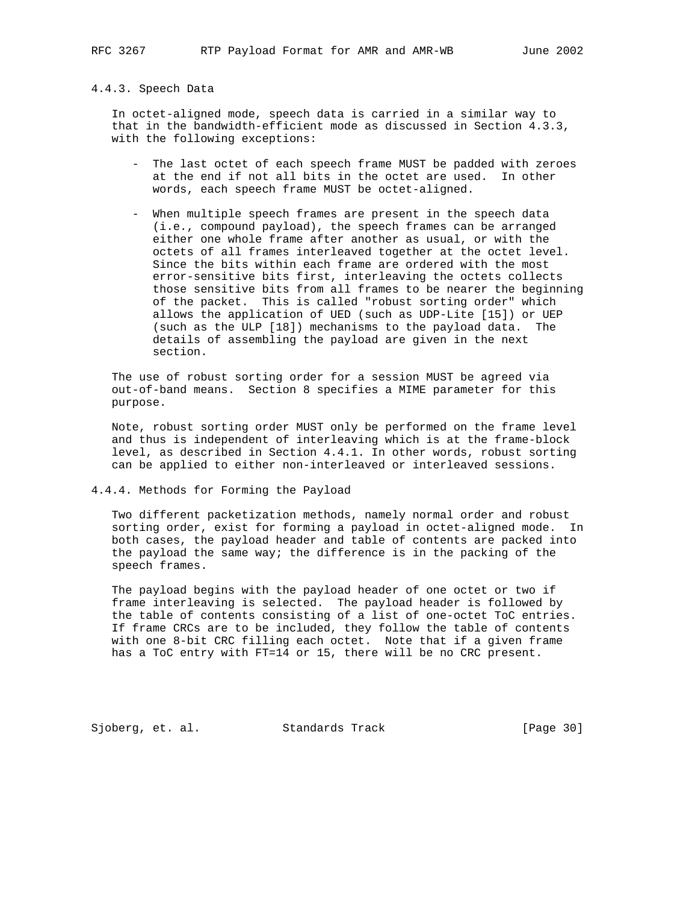# 4.4.3. Speech Data

 In octet-aligned mode, speech data is carried in a similar way to that in the bandwidth-efficient mode as discussed in Section 4.3.3, with the following exceptions:

- The last octet of each speech frame MUST be padded with zeroes at the end if not all bits in the octet are used. In other words, each speech frame MUST be octet-aligned.
- When multiple speech frames are present in the speech data (i.e., compound payload), the speech frames can be arranged either one whole frame after another as usual, or with the octets of all frames interleaved together at the octet level. Since the bits within each frame are ordered with the most error-sensitive bits first, interleaving the octets collects those sensitive bits from all frames to be nearer the beginning of the packet. This is called "robust sorting order" which allows the application of UED (such as UDP-Lite [15]) or UEP (such as the ULP [18]) mechanisms to the payload data. The details of assembling the payload are given in the next section.

 The use of robust sorting order for a session MUST be agreed via out-of-band means. Section 8 specifies a MIME parameter for this purpose.

 Note, robust sorting order MUST only be performed on the frame level and thus is independent of interleaving which is at the frame-block level, as described in Section 4.4.1. In other words, robust sorting can be applied to either non-interleaved or interleaved sessions.

4.4.4. Methods for Forming the Payload

 Two different packetization methods, namely normal order and robust sorting order, exist for forming a payload in octet-aligned mode. In both cases, the payload header and table of contents are packed into the payload the same way; the difference is in the packing of the speech frames.

 The payload begins with the payload header of one octet or two if frame interleaving is selected. The payload header is followed by the table of contents consisting of a list of one-octet ToC entries. If frame CRCs are to be included, they follow the table of contents with one 8-bit CRC filling each octet. Note that if a given frame has a ToC entry with FT=14 or 15, there will be no CRC present.

Sjoberg, et. al. Standards Track [Page 30]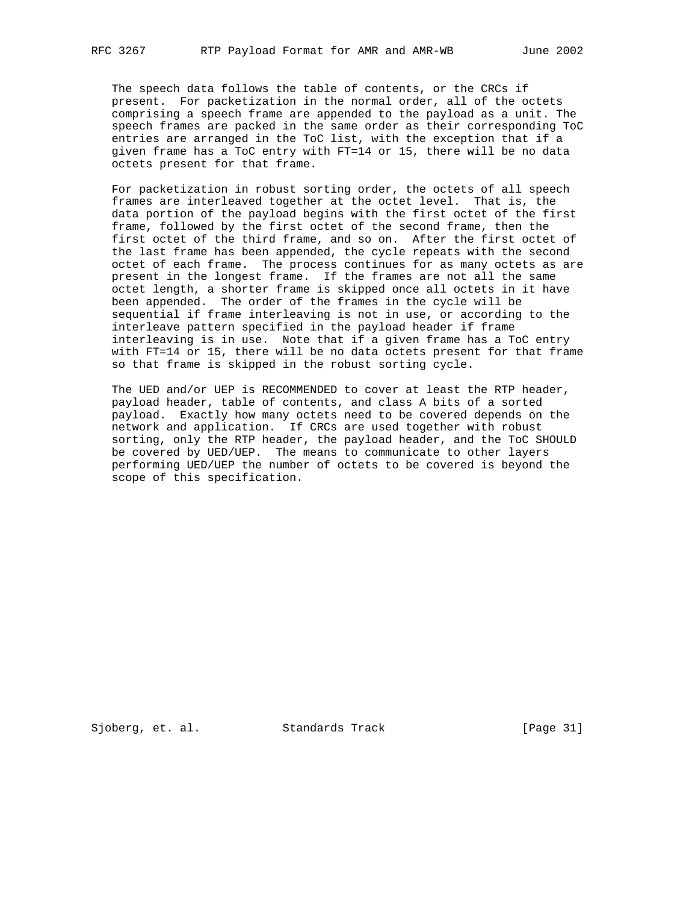The speech data follows the table of contents, or the CRCs if present. For packetization in the normal order, all of the octets comprising a speech frame are appended to the payload as a unit. The speech frames are packed in the same order as their corresponding ToC entries are arranged in the ToC list, with the exception that if a given frame has a ToC entry with FT=14 or 15, there will be no data octets present for that frame.

 For packetization in robust sorting order, the octets of all speech frames are interleaved together at the octet level. That is, the data portion of the payload begins with the first octet of the first frame, followed by the first octet of the second frame, then the first octet of the third frame, and so on. After the first octet of the last frame has been appended, the cycle repeats with the second octet of each frame. The process continues for as many octets as are present in the longest frame. If the frames are not all the same octet length, a shorter frame is skipped once all octets in it have been appended. The order of the frames in the cycle will be sequential if frame interleaving is not in use, or according to the interleave pattern specified in the payload header if frame interleaving is in use. Note that if a given frame has a ToC entry with FT=14 or 15, there will be no data octets present for that frame so that frame is skipped in the robust sorting cycle.

 The UED and/or UEP is RECOMMENDED to cover at least the RTP header, payload header, table of contents, and class A bits of a sorted payload. Exactly how many octets need to be covered depends on the network and application. If CRCs are used together with robust sorting, only the RTP header, the payload header, and the ToC SHOULD be covered by UED/UEP. The means to communicate to other layers performing UED/UEP the number of octets to be covered is beyond the scope of this specification.

Sjoberg, et. al. Standards Track [Page 31]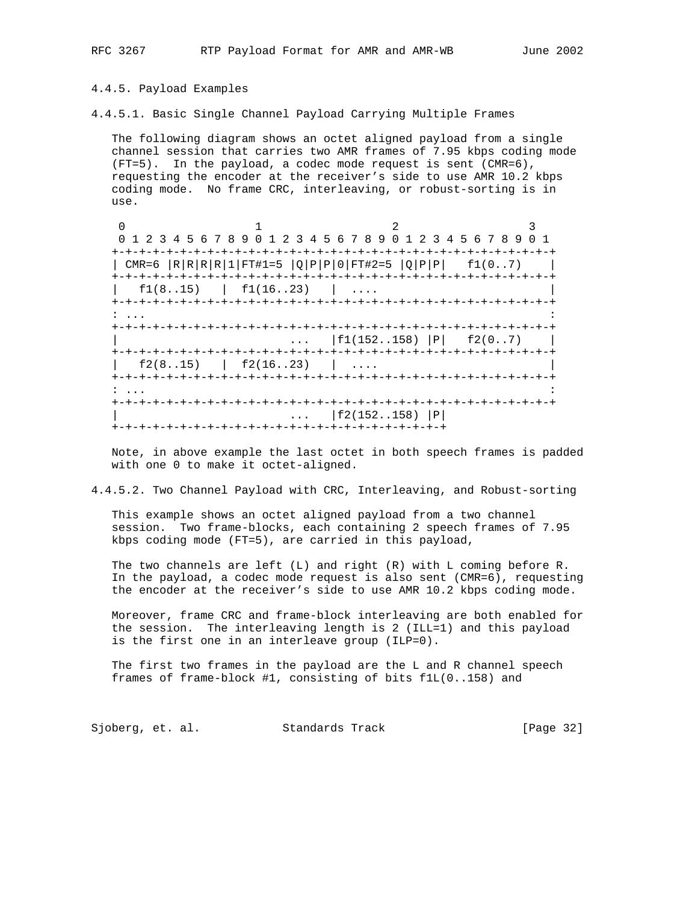#### 4.4.5. Payload Examples

4.4.5.1. Basic Single Channel Payload Carrying Multiple Frames

 The following diagram shows an octet aligned payload from a single channel session that carries two AMR frames of 7.95 kbps coding mode (FT=5). In the payload, a codec mode request is sent (CMR=6), requesting the encoder at the receiver's side to use AMR 10.2 kbps coding mode. No frame CRC, interleaving, or robust-sorting is in use.

 $\begin{array}{ccccccc}\n0 & & & 1 & & & 2 & & 3\n\end{array}$  0 1 2 3 4 5 6 7 8 9 0 1 2 3 4 5 6 7 8 9 0 1 2 3 4 5 6 7 8 9 0 1 +-+-+-+-+-+-+-+-+-+-+-+-+-+-+-+-+-+-+-+-+-+-+-+-+-+-+-+-+-+-+-+-+ | CMR=6  $|R|R|R|1|FTH1=5 |Q|P|P|0|FTH2=5 |Q|P|P|$  f1(0..7) +-+-+-+-+-+-+-+-+-+-+-+-+-+-+-+-+-+-+-+-+-+-+-+-+-+-+-+-+-+-+-+-+  $\left| \begin{array}{c} \text{f1}(8..15) \\ \text{f1}(16..23) \\ \end{array} \right|$  .... +-+-+-+-+-+-+-+-+-+-+-+-+-+-+-+-+-+-+-+-+-+-+-+-+-+-+-+-+-+-+-+-+ : ... : +-+-+-+-+-+-+-+-+-+-+-+-+-+-+-+-+-+-+-+-+-+-+-+-+-+-+-+-+-+-+-+-+  $\ldots$  | f1(152..158) | P| f2(0..7) | +-+-+-+-+-+-+-+-+-+-+-+-+-+-+-+-+-+-+-+-+-+-+-+-+-+-+-+-+-+-+-+-+  $\left| \begin{array}{cccc} \text{f2}(8..15) & \text{f2}(16..23) & \dots \end{array} \right|$  +-+-+-+-+-+-+-+-+-+-+-+-+-+-+-+-+-+-+-+-+-+-+-+-+-+-+-+-+-+-+-+-+ : ... : +-+-+-+-+-+-+-+-+-+-+-+-+-+-+-+-+-+-+-+-+-+-+-+-+-+-+-+-+-+-+-+-+ | ... |f2(152..158) |P| +-+-+-+-+-+-+-+-+-+-+-+-+-+-+-+-+-+-+-+-+-+-+-+-+

 Note, in above example the last octet in both speech frames is padded with one 0 to make it octet-aligned.

4.4.5.2. Two Channel Payload with CRC, Interleaving, and Robust-sorting

 This example shows an octet aligned payload from a two channel session. Two frame-blocks, each containing 2 speech frames of 7.95 kbps coding mode (FT=5), are carried in this payload,

The two channels are left  $(L)$  and right  $(R)$  with  $L$  coming before R. In the payload, a codec mode request is also sent (CMR=6), requesting the encoder at the receiver's side to use AMR 10.2 kbps coding mode.

 Moreover, frame CRC and frame-block interleaving are both enabled for the session. The interleaving length is 2 (ILL=1) and this payload is the first one in an interleave group (ILP=0).

 The first two frames in the payload are the L and R channel speech frames of frame-block #1, consisting of bits f1L(0..158) and

Sjoberg, et. al. Standards Track [Page 32]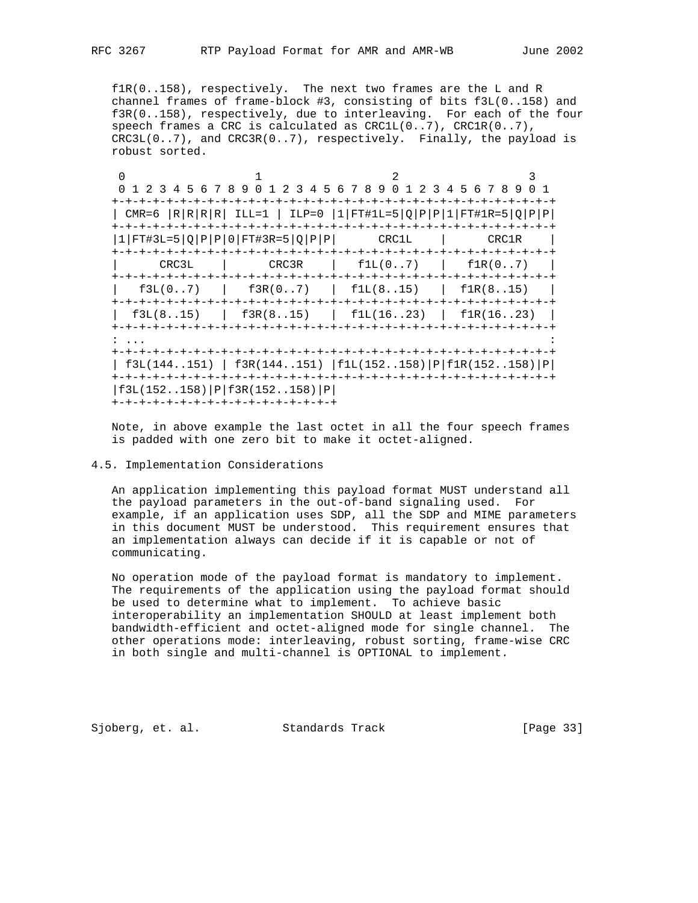f1R(0..158), respectively. The next two frames are the L and R channel frames of frame-block #3, consisting of bits f3L(0..158) and f3R(0..158), respectively, due to interleaving. For each of the four speech frames a CRC is calculated as CRC1L(0..7), CRC1R(0..7),  $CRC3L(0..7)$ , and  $CRC3R(0..7)$ , respectively. Finally, the payload is robust sorted.

0  $1$  2 3 0 1 2 3 4 5 6 7 8 9 0 1 2 3 4 5 6 7 8 9 0 1 2 3 4 5 6 7 8 9 0 1 +-+-+-+-+-+-+-+-+-+-+-+-+-+-+-+-+-+-+-+-+-+-+-+-+-+-+-+-+-+-+-+-+ | CMR=6 |R|R|R|R| ILL=1 | ILP=0 |1|FT#1L=5|Q|P|P|1|FT#1R=5|Q|P|P| +-+-+-+-+-+-+-+-+-+-+-+-+-+-+-+-+-+-+-+-+-+-+-+-+-+-+-+-+-+-+-+-+  $|1|$ FT#3L=5 $|Q|P|P|0|$ FT#3R=5 $|Q|P|P|$  CRC1L  $|$  CRC1R  $|$  +-+-+-+-+-+-+-+-+-+-+-+-+-+-+-+-+-+-+-+-+-+-+-+-+-+-+-+-+-+-+-+-+ | CRC3L | CRC3R | f1L(0..7) | f1R(0..7) | +-+-+-+-+-+-+-+-+-+-+-+-+-+-+-+-+-+-+-+-+-+-+-+-+-+-+-+-+-+-+-+-+  $\left| \begin{array}{cc} \text{f3L}(0..7) \end{array} \right|$   $\text{f3R}(0..7)$   $\left| \begin{array}{cc} \text{f1L}(8..15) \end{array} \right|$   $\text{f1R}(8..15)$   $\left| \begin{array}{cc} \text{f1R}(8..15) \end{array} \right|$  +-+-+-+-+-+-+-+-+-+-+-+-+-+-+-+-+-+-+-+-+-+-+-+-+-+-+-+-+-+-+-+-+  $\vert$  f3L(8..15) | f3R(8..15) | f1L(16..23) | f1R(16..23) | +-+-+-+-+-+-+-+-+-+-+-+-+-+-+-+-+-+-+-+-+-+-+-+-+-+-+-+-+-+-+-+-+ : ... : +-+-+-+-+-+-+-+-+-+-+-+-+-+-+-+-+-+-+-+-+-+-+-+-+-+-+-+-+-+-+-+-+ | f3L(144..151) | f3R(144..151) |f1L(152..158)|P|f1R(152..158)|P| +-+-+-+-+-+-+-+-+-+-+-+-+-+-+-+-+-+-+-+-+-+-+-+-+-+-+-+-+-+-+-+-+ |f3L(152..158)|P|f3R(152..158)|P| +-+-+-+-+-+-+-+-+-+-+-+-+-+-+-+-+

 Note, in above example the last octet in all the four speech frames is padded with one zero bit to make it octet-aligned.

# 4.5. Implementation Considerations

 An application implementing this payload format MUST understand all the payload parameters in the out-of-band signaling used. For example, if an application uses SDP, all the SDP and MIME parameters in this document MUST be understood. This requirement ensures that an implementation always can decide if it is capable or not of communicating.

 No operation mode of the payload format is mandatory to implement. The requirements of the application using the payload format should be used to determine what to implement. To achieve basic interoperability an implementation SHOULD at least implement both bandwidth-efficient and octet-aligned mode for single channel. The other operations mode: interleaving, robust sorting, frame-wise CRC in both single and multi-channel is OPTIONAL to implement.

Sjoberg, et. al. Standards Track [Page 33]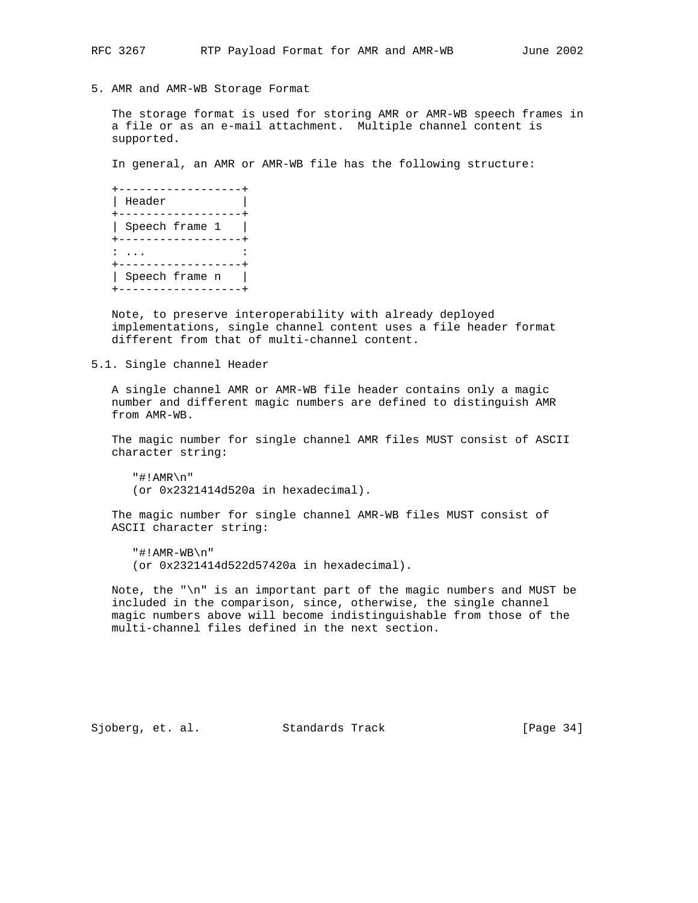5. AMR and AMR-WB Storage Format

 The storage format is used for storing AMR or AMR-WB speech frames in a file or as an e-mail attachment. Multiple channel content is supported.

In general, an AMR or AMR-WB file has the following structure:

| Header         |  |
|----------------|--|
|                |  |
| Speech frame 1 |  |
|                |  |
|                |  |
|                |  |
| Speech frame n |  |
|                |  |

 Note, to preserve interoperability with already deployed implementations, single channel content uses a file header format different from that of multi-channel content.

5.1. Single channel Header

 A single channel AMR or AMR-WB file header contains only a magic number and different magic numbers are defined to distinguish AMR from AMR-WB.

 The magic number for single channel AMR files MUST consist of ASCII character string:

 "#!AMR\n" (or 0x2321414d520a in hexadecimal).

 The magic number for single channel AMR-WB files MUST consist of ASCII character string:

 "#!AMR-WB\n" (or 0x2321414d522d57420a in hexadecimal).

 Note, the "\n" is an important part of the magic numbers and MUST be included in the comparison, since, otherwise, the single channel magic numbers above will become indistinguishable from those of the multi-channel files defined in the next section.

Sjoberg, et. al. Standards Track [Page 34]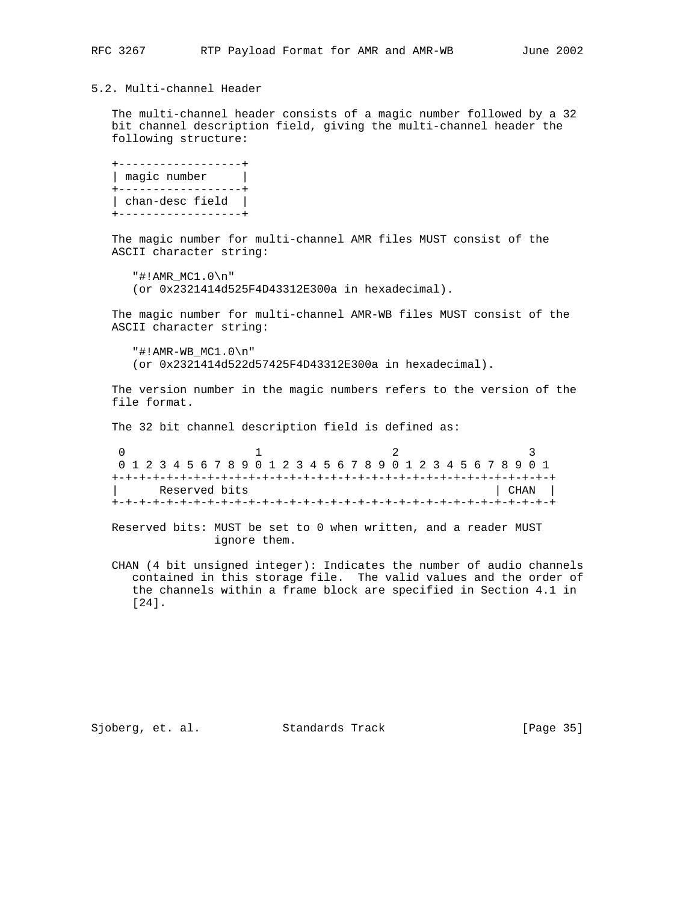# 5.2. Multi-channel Header

 The multi-channel header consists of a magic number followed by a 32 bit channel description field, giving the multi-channel header the following structure:

 +------------------+ | magic number | +------------------+ | chan-desc field | +------------------+

 The magic number for multi-channel AMR files MUST consist of the ASCII character string:

 "#!AMR\_MC1.0\n" (or 0x2321414d525F4D43312E300a in hexadecimal).

 The magic number for multi-channel AMR-WB files MUST consist of the ASCII character string:

 "#!AMR-WB\_MC1.0\n" (or 0x2321414d522d57425F4D43312E300a in hexadecimal).

 The version number in the magic numbers refers to the version of the file format.

The 32 bit channel description field is defined as:

| 0 1 2 3 4 5 6 7 8 9 0 1 2 3 4 5 6 7 8 9 0 1 2 3 4 5 6 7 8 9 0 1 |  |  |  |  |  |  |  |  |  |  |  |  |  |  |      |  |  |  |  |  |  |  |
|-----------------------------------------------------------------|--|--|--|--|--|--|--|--|--|--|--|--|--|--|------|--|--|--|--|--|--|--|
|                                                                 |  |  |  |  |  |  |  |  |  |  |  |  |  |  |      |  |  |  |  |  |  |  |
| Reserved bits                                                   |  |  |  |  |  |  |  |  |  |  |  |  |  |  | CHAN |  |  |  |  |  |  |  |
|                                                                 |  |  |  |  |  |  |  |  |  |  |  |  |  |  |      |  |  |  |  |  |  |  |

 Reserved bits: MUST be set to 0 when written, and a reader MUST ignore them.

 CHAN (4 bit unsigned integer): Indicates the number of audio channels contained in this storage file. The valid values and the order of the channels within a frame block are specified in Section 4.1 in [24].

Sjoberg, et. al. Standards Track [Page 35]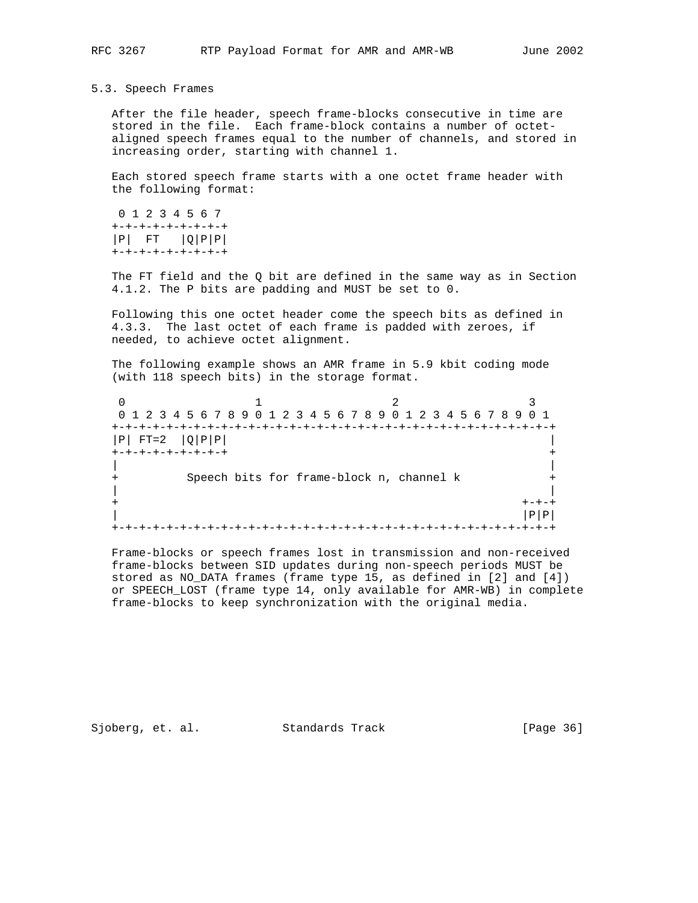#### 5.3. Speech Frames

 After the file header, speech frame-blocks consecutive in time are stored in the file. Each frame-block contains a number of octet aligned speech frames equal to the number of channels, and stored in increasing order, starting with channel 1.

 Each stored speech frame starts with a one octet frame header with the following format:

 0 1 2 3 4 5 6 7 +-+-+-+-+-+-+-+-+  $|P|$  FT  $|Q|P|P|$ +-+-+-+-+-+-+-+-+

 The FT field and the Q bit are defined in the same way as in Section 4.1.2. The P bits are padding and MUST be set to 0.

 Following this one octet header come the speech bits as defined in 4.3.3. The last octet of each frame is padded with zeroes, if needed, to achieve octet alignment.

 The following example shows an AMR frame in 5.9 kbit coding mode (with 118 speech bits) in the storage format.

0  $1$  2 3 0 1 2 3 4 5 6 7 8 9 0 1 2 3 4 5 6 7 8 9 0 1 2 3 4 5 6 7 8 9 0 1 +-+-+-+-+-+-+-+-+-+-+-+-+-+-+-+-+-+-+-+-+-+-+-+-+-+-+-+-+-+-+-+-+  $|P|$  FT=2  $|Q|P|P|$  +-+-+-+-+-+-+-+-+ + | | Speech bits for frame-block n, channel k + | |  $+$  +-+-+  $+$  $|\mathbf{P}|\mathbf{P}|$ +-+-+-+-+-+-+-+-+-+-+-+-+-+-+-+-+-+-+-+-+-+-+-+-+-+-+-+-+-+-+-+-+

 Frame-blocks or speech frames lost in transmission and non-received frame-blocks between SID updates during non-speech periods MUST be stored as NO\_DATA frames (frame type 15, as defined in [2] and [4]) or SPEECH\_LOST (frame type 14, only available for AMR-WB) in complete frame-blocks to keep synchronization with the original media.

Sjoberg, et. al. Standards Track [Page 36]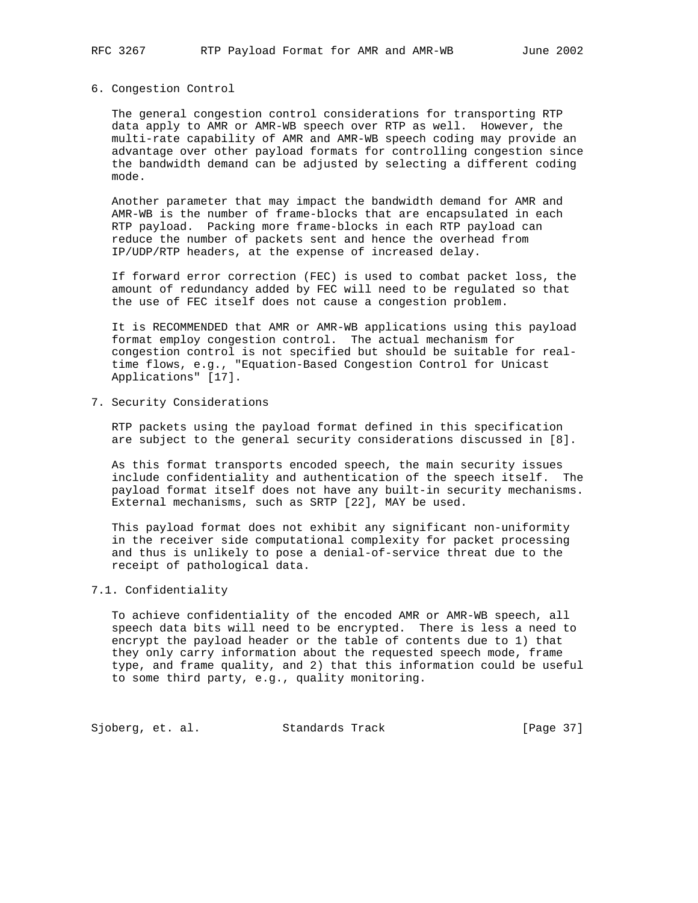#### 6. Congestion Control

 The general congestion control considerations for transporting RTP data apply to AMR or AMR-WB speech over RTP as well. However, the multi-rate capability of AMR and AMR-WB speech coding may provide an advantage over other payload formats for controlling congestion since the bandwidth demand can be adjusted by selecting a different coding mode.

 Another parameter that may impact the bandwidth demand for AMR and AMR-WB is the number of frame-blocks that are encapsulated in each RTP payload. Packing more frame-blocks in each RTP payload can reduce the number of packets sent and hence the overhead from IP/UDP/RTP headers, at the expense of increased delay.

 If forward error correction (FEC) is used to combat packet loss, the amount of redundancy added by FEC will need to be regulated so that the use of FEC itself does not cause a congestion problem.

 It is RECOMMENDED that AMR or AMR-WB applications using this payload format employ congestion control. The actual mechanism for congestion control is not specified but should be suitable for real time flows, e.g., "Equation-Based Congestion Control for Unicast Applications" [17].

7. Security Considerations

 RTP packets using the payload format defined in this specification are subject to the general security considerations discussed in [8].

 As this format transports encoded speech, the main security issues include confidentiality and authentication of the speech itself. The payload format itself does not have any built-in security mechanisms. External mechanisms, such as SRTP [22], MAY be used.

 This payload format does not exhibit any significant non-uniformity in the receiver side computational complexity for packet processing and thus is unlikely to pose a denial-of-service threat due to the receipt of pathological data.

# 7.1. Confidentiality

 To achieve confidentiality of the encoded AMR or AMR-WB speech, all speech data bits will need to be encrypted. There is less a need to encrypt the payload header or the table of contents due to 1) that they only carry information about the requested speech mode, frame type, and frame quality, and 2) that this information could be useful to some third party, e.g., quality monitoring.

Sjoberg, et. al. Standards Track [Page 37]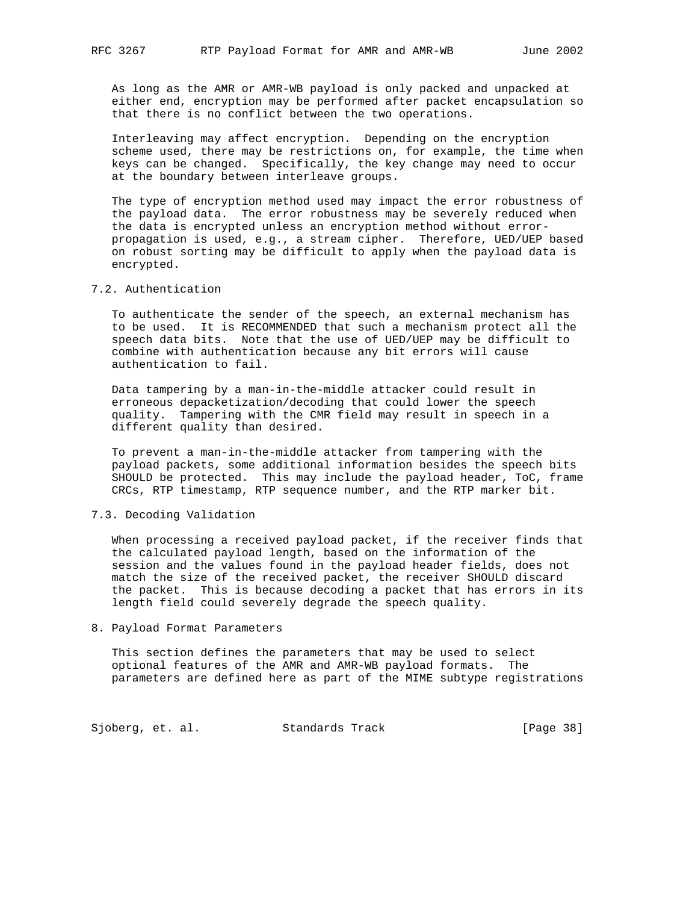As long as the AMR or AMR-WB payload is only packed and unpacked at either end, encryption may be performed after packet encapsulation so that there is no conflict between the two operations.

 Interleaving may affect encryption. Depending on the encryption scheme used, there may be restrictions on, for example, the time when keys can be changed. Specifically, the key change may need to occur at the boundary between interleave groups.

 The type of encryption method used may impact the error robustness of the payload data. The error robustness may be severely reduced when the data is encrypted unless an encryption method without error propagation is used, e.g., a stream cipher. Therefore, UED/UEP based on robust sorting may be difficult to apply when the payload data is encrypted.

#### 7.2. Authentication

 To authenticate the sender of the speech, an external mechanism has to be used. It is RECOMMENDED that such a mechanism protect all the speech data bits. Note that the use of UED/UEP may be difficult to combine with authentication because any bit errors will cause authentication to fail.

 Data tampering by a man-in-the-middle attacker could result in erroneous depacketization/decoding that could lower the speech quality. Tampering with the CMR field may result in speech in a different quality than desired.

 To prevent a man-in-the-middle attacker from tampering with the payload packets, some additional information besides the speech bits SHOULD be protected. This may include the payload header, ToC, frame CRCs, RTP timestamp, RTP sequence number, and the RTP marker bit.

# 7.3. Decoding Validation

 When processing a received payload packet, if the receiver finds that the calculated payload length, based on the information of the session and the values found in the payload header fields, does not match the size of the received packet, the receiver SHOULD discard the packet. This is because decoding a packet that has errors in its length field could severely degrade the speech quality.

#### 8. Payload Format Parameters

 This section defines the parameters that may be used to select optional features of the AMR and AMR-WB payload formats. The parameters are defined here as part of the MIME subtype registrations

Sjoberg, et. al. Standards Track [Page 38]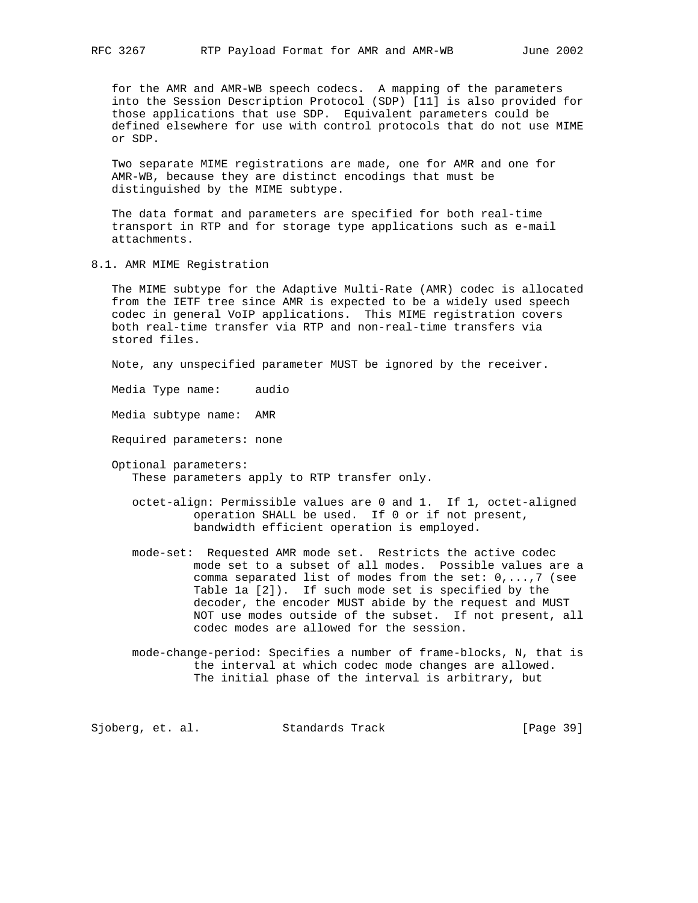for the AMR and AMR-WB speech codecs. A mapping of the parameters into the Session Description Protocol (SDP) [11] is also provided for those applications that use SDP. Equivalent parameters could be defined elsewhere for use with control protocols that do not use MIME or SDP.

 Two separate MIME registrations are made, one for AMR and one for AMR-WB, because they are distinct encodings that must be distinguished by the MIME subtype.

 The data format and parameters are specified for both real-time transport in RTP and for storage type applications such as e-mail attachments.

8.1. AMR MIME Registration

 The MIME subtype for the Adaptive Multi-Rate (AMR) codec is allocated from the IETF tree since AMR is expected to be a widely used speech codec in general VoIP applications. This MIME registration covers both real-time transfer via RTP and non-real-time transfers via stored files.

Note, any unspecified parameter MUST be ignored by the receiver.

Media Type name: audio

Media subtype name: AMR

Required parameters: none

 Optional parameters: These parameters apply to RTP transfer only.

- octet-align: Permissible values are 0 and 1. If 1, octet-aligned operation SHALL be used. If 0 or if not present, bandwidth efficient operation is employed.
- mode-set: Requested AMR mode set. Restricts the active codec mode set to a subset of all modes. Possible values are a comma separated list of modes from the set: 0,...,7 (see Table 1a [2]). If such mode set is specified by the decoder, the encoder MUST abide by the request and MUST NOT use modes outside of the subset. If not present, all codec modes are allowed for the session.
- mode-change-period: Specifies a number of frame-blocks, N, that is the interval at which codec mode changes are allowed. The initial phase of the interval is arbitrary, but

Sjoberg, et. al. Standards Track [Page 39]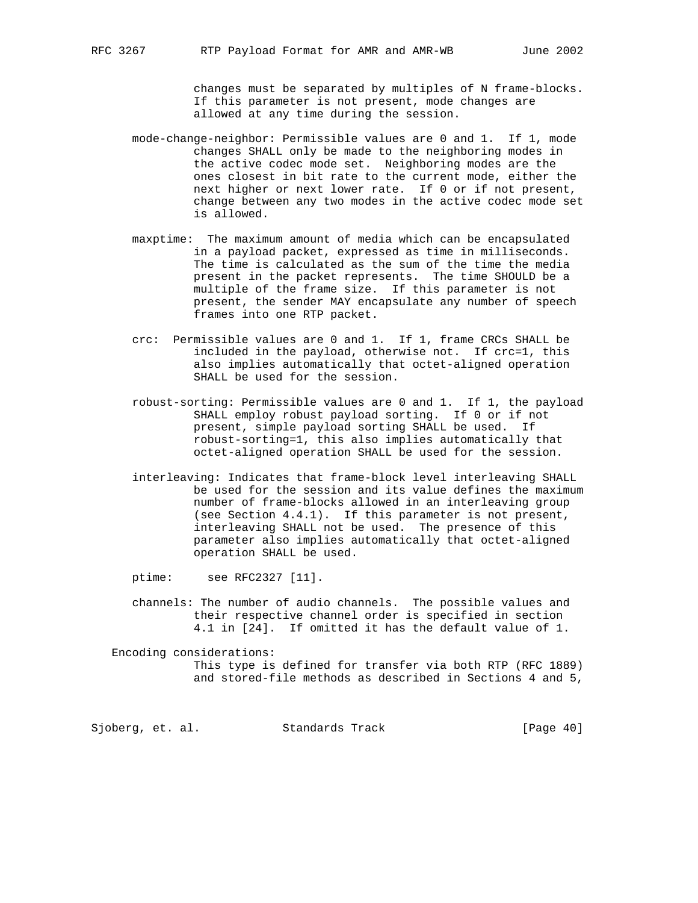changes must be separated by multiples of N frame-blocks. If this parameter is not present, mode changes are allowed at any time during the session.

- mode-change-neighbor: Permissible values are 0 and 1. If 1, mode changes SHALL only be made to the neighboring modes in the active codec mode set. Neighboring modes are the ones closest in bit rate to the current mode, either the next higher or next lower rate. If 0 or if not present, change between any two modes in the active codec mode set is allowed.
- maxptime: The maximum amount of media which can be encapsulated in a payload packet, expressed as time in milliseconds. The time is calculated as the sum of the time the media present in the packet represents. The time SHOULD be a multiple of the frame size. If this parameter is not present, the sender MAY encapsulate any number of speech frames into one RTP packet.
- crc: Permissible values are 0 and 1. If 1, frame CRCs SHALL be included in the payload, otherwise not. If crc=1, this also implies automatically that octet-aligned operation SHALL be used for the session.
- robust-sorting: Permissible values are 0 and 1. If 1, the payload SHALL employ robust payload sorting. If 0 or if not present, simple payload sorting SHALL be used. If robust-sorting=1, this also implies automatically that octet-aligned operation SHALL be used for the session.
- interleaving: Indicates that frame-block level interleaving SHALL be used for the session and its value defines the maximum number of frame-blocks allowed in an interleaving group (see Section 4.4.1). If this parameter is not present, interleaving SHALL not be used. The presence of this parameter also implies automatically that octet-aligned operation SHALL be used.

ptime: see RFC2327 [11].

 channels: The number of audio channels. The possible values and their respective channel order is specified in section 4.1 in [24]. If omitted it has the default value of 1.

 Encoding considerations: This type is defined for transfer via both RTP (RFC 1889) and stored-file methods as described in Sections 4 and 5,

Sjoberg, et. al. Standards Track [Page 40]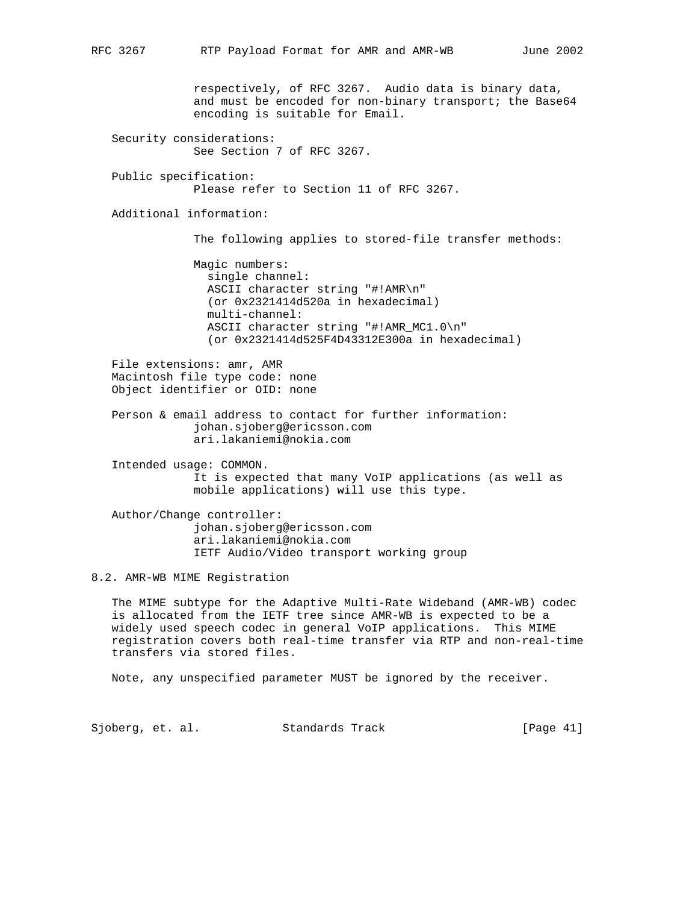respectively, of RFC 3267. Audio data is binary data, and must be encoded for non-binary transport; the Base64 encoding is suitable for Email. Security considerations: See Section 7 of RFC 3267. Public specification: Please refer to Section 11 of RFC 3267. Additional information: The following applies to stored-file transfer methods: Magic numbers: single channel: ASCII character string "#!AMR\n" (or 0x2321414d520a in hexadecimal) multi-channel: ASCII character string "#!AMR\_MC1.0\n" (or 0x2321414d525F4D43312E300a in hexadecimal) File extensions: amr, AMR Macintosh file type code: none Object identifier or OID: none Person & email address to contact for further information: johan.sjoberg@ericsson.com ari.lakaniemi@nokia.com Intended usage: COMMON. It is expected that many VoIP applications (as well as mobile applications) will use this type. Author/Change controller: johan.sjoberg@ericsson.com ari.lakaniemi@nokia.com IETF Audio/Video transport working group 8.2. AMR-WB MIME Registration The MIME subtype for the Adaptive Multi-Rate Wideband (AMR-WB) codec is allocated from the IETF tree since AMR-WB is expected to be a widely used speech codec in general VoIP applications. This MIME registration covers both real-time transfer via RTP and non-real-time transfers via stored files.

Note, any unspecified parameter MUST be ignored by the receiver.

Sjoberg, et. al. Standards Track [Page 41]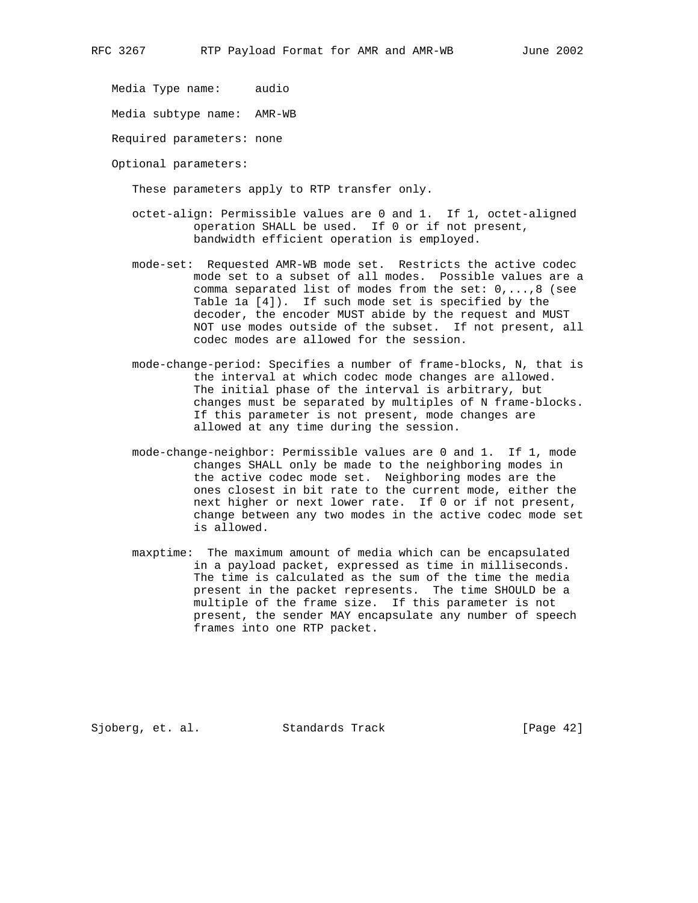Media Type name: audio

Media subtype name: AMR-WB

Required parameters: none

Optional parameters:

These parameters apply to RTP transfer only.

- octet-align: Permissible values are 0 and 1. If 1, octet-aligned operation SHALL be used. If 0 or if not present, bandwidth efficient operation is employed.
- mode-set: Requested AMR-WB mode set. Restricts the active codec mode set to a subset of all modes. Possible values are a comma separated list of modes from the set: 0,...,8 (see Table 1a [4]). If such mode set is specified by the decoder, the encoder MUST abide by the request and MUST NOT use modes outside of the subset. If not present, all codec modes are allowed for the session.
- mode-change-period: Specifies a number of frame-blocks, N, that is the interval at which codec mode changes are allowed. The initial phase of the interval is arbitrary, but changes must be separated by multiples of N frame-blocks. If this parameter is not present, mode changes are allowed at any time during the session.
- mode-change-neighbor: Permissible values are 0 and 1. If 1, mode changes SHALL only be made to the neighboring modes in the active codec mode set. Neighboring modes are the ones closest in bit rate to the current mode, either the next higher or next lower rate. If 0 or if not present, change between any two modes in the active codec mode set is allowed.
- maxptime: The maximum amount of media which can be encapsulated in a payload packet, expressed as time in milliseconds. The time is calculated as the sum of the time the media present in the packet represents. The time SHOULD be a multiple of the frame size. If this parameter is not present, the sender MAY encapsulate any number of speech frames into one RTP packet.

Sjoberg, et. al. Standards Track [Page 42]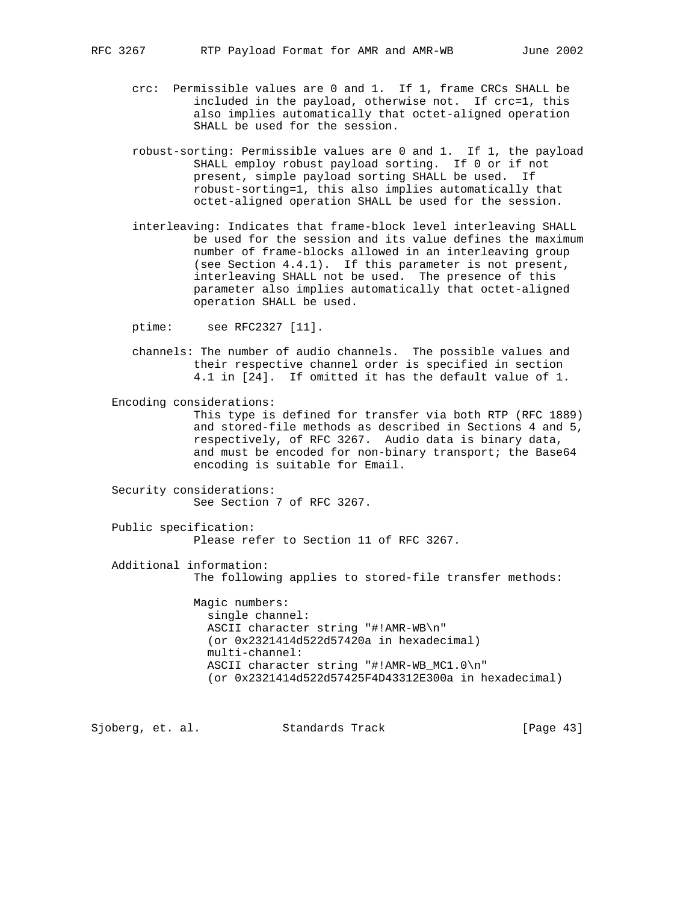- crc: Permissible values are 0 and 1. If 1, frame CRCs SHALL be included in the payload, otherwise not. If crc=1, this also implies automatically that octet-aligned operation SHALL be used for the session.
- robust-sorting: Permissible values are 0 and 1. If 1, the payload SHALL employ robust payload sorting. If 0 or if not present, simple payload sorting SHALL be used. If robust-sorting=1, this also implies automatically that octet-aligned operation SHALL be used for the session.
- interleaving: Indicates that frame-block level interleaving SHALL be used for the session and its value defines the maximum number of frame-blocks allowed in an interleaving group (see Section 4.4.1). If this parameter is not present, interleaving SHALL not be used. The presence of this parameter also implies automatically that octet-aligned operation SHALL be used.

ptime: see RFC2327 [11].

- channels: The number of audio channels. The possible values and their respective channel order is specified in section 4.1 in [24]. If omitted it has the default value of 1.
- Encoding considerations: This type is defined for transfer via both RTP (RFC 1889) and stored-file methods as described in Sections 4 and 5, respectively, of RFC 3267. Audio data is binary data, and must be encoded for non-binary transport; the Base64 encoding is suitable for Email.
- Security considerations: See Section 7 of RFC 3267.
- Public specification: Please refer to Section 11 of RFC 3267.
- Additional information: The following applies to stored-file transfer methods:

 Magic numbers: single channel: ASCII character string "#!AMR-WB\n" (or 0x2321414d522d57420a in hexadecimal) multi-channel: ASCII character string "#!AMR-WB\_MC1.0\n" (or 0x2321414d522d57425F4D43312E300a in hexadecimal)

Sjoberg, et. al. Standards Track [Page 43]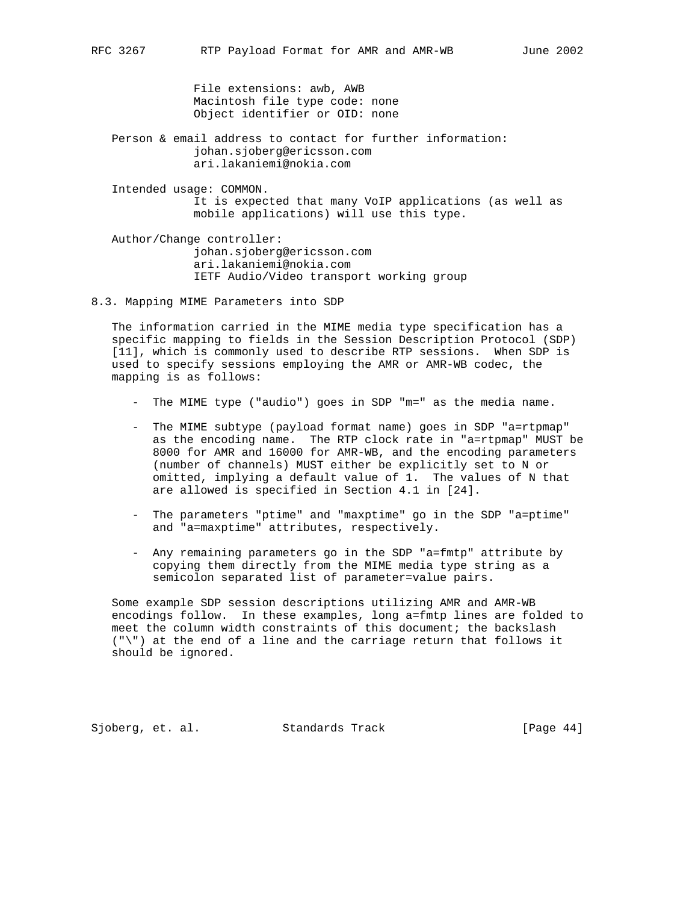File extensions: awb, AWB Macintosh file type code: none Object identifier or OID: none

- Person & email address to contact for further information: johan.sjoberg@ericsson.com ari.lakaniemi@nokia.com
- Intended usage: COMMON. It is expected that many VoIP applications (as well as mobile applications) will use this type.

 Author/Change controller: johan.sjoberg@ericsson.com ari.lakaniemi@nokia.com IETF Audio/Video transport working group

8.3. Mapping MIME Parameters into SDP

 The information carried in the MIME media type specification has a specific mapping to fields in the Session Description Protocol (SDP) [11], which is commonly used to describe RTP sessions. When SDP is used to specify sessions employing the AMR or AMR-WB codec, the mapping is as follows:

- The MIME type ("audio") goes in SDP "m=" as the media name.
- The MIME subtype (payload format name) goes in SDP "a=rtpmap" as the encoding name. The RTP clock rate in "a=rtpmap" MUST be 8000 for AMR and 16000 for AMR-WB, and the encoding parameters (number of channels) MUST either be explicitly set to N or omitted, implying a default value of 1. The values of N that are allowed is specified in Section 4.1 in [24].
- The parameters "ptime" and "maxptime" go in the SDP "a=ptime" and "a=maxptime" attributes, respectively.
- Any remaining parameters go in the SDP "a=fmtp" attribute by copying them directly from the MIME media type string as a semicolon separated list of parameter=value pairs.

 Some example SDP session descriptions utilizing AMR and AMR-WB encodings follow. In these examples, long a=fmtp lines are folded to meet the column width constraints of this document; the backslash ("\") at the end of a line and the carriage return that follows it should be ignored.

Sjoberg, et. al. Standards Track [Page 44]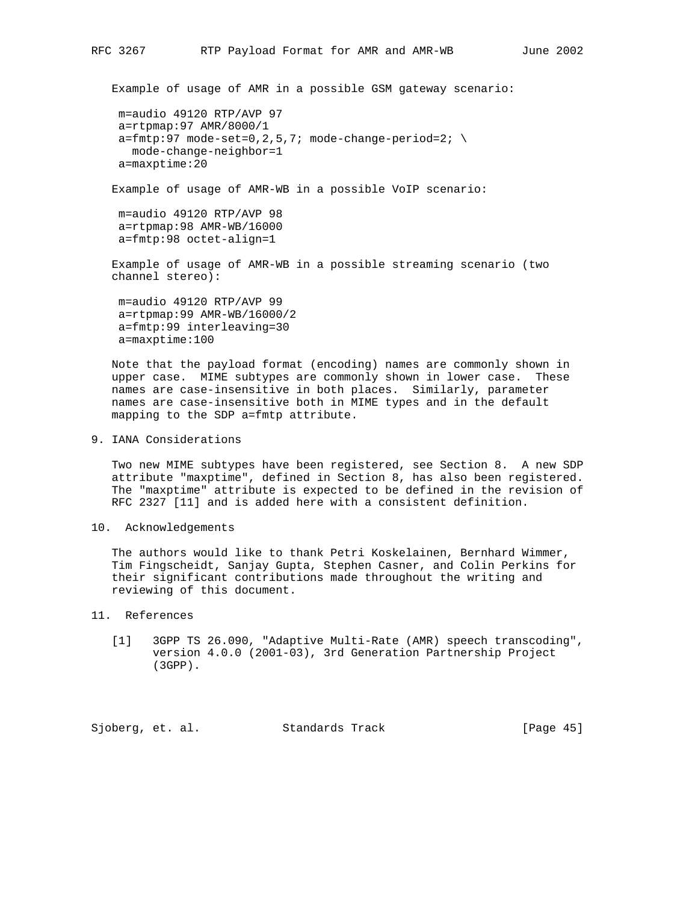```
 Example of usage of AMR in a possible GSM gateway scenario:
 m=audio 49120 RTP/AVP 97
 a=rtpmap:97 AMR/8000/1
a=fmtp:97 mode-set=0, 2, 5, 7; mode-change-period=2; \
    mode-change-neighbor=1
 a=maxptime:20
 Example of usage of AMR-WB in a possible VoIP scenario:
 m=audio 49120 RTP/AVP 98
 a=rtpmap:98 AMR-WB/16000
 a=fmtp:98 octet-align=1
 Example of usage of AMR-WB in a possible streaming scenario (two
 channel stereo):
 m=audio 49120 RTP/AVP 99
 a=rtpmap:99 AMR-WB/16000/2
 a=fmtp:99 interleaving=30
```
 Note that the payload format (encoding) names are commonly shown in upper case. MIME subtypes are commonly shown in lower case. These names are case-insensitive in both places. Similarly, parameter names are case-insensitive both in MIME types and in the default mapping to the SDP a=fmtp attribute.

9. IANA Considerations

a=maxptime:100

 Two new MIME subtypes have been registered, see Section 8. A new SDP attribute "maxptime", defined in Section 8, has also been registered. The "maxptime" attribute is expected to be defined in the revision of RFC 2327 [11] and is added here with a consistent definition.

10. Acknowledgements

 The authors would like to thank Petri Koskelainen, Bernhard Wimmer, Tim Fingscheidt, Sanjay Gupta, Stephen Casner, and Colin Perkins for their significant contributions made throughout the writing and reviewing of this document.

- 11. References
	- [1] 3GPP TS 26.090, "Adaptive Multi-Rate (AMR) speech transcoding", version 4.0.0 (2001-03), 3rd Generation Partnership Project (3GPP).

Sjoberg, et. al. Standards Track [Page 45]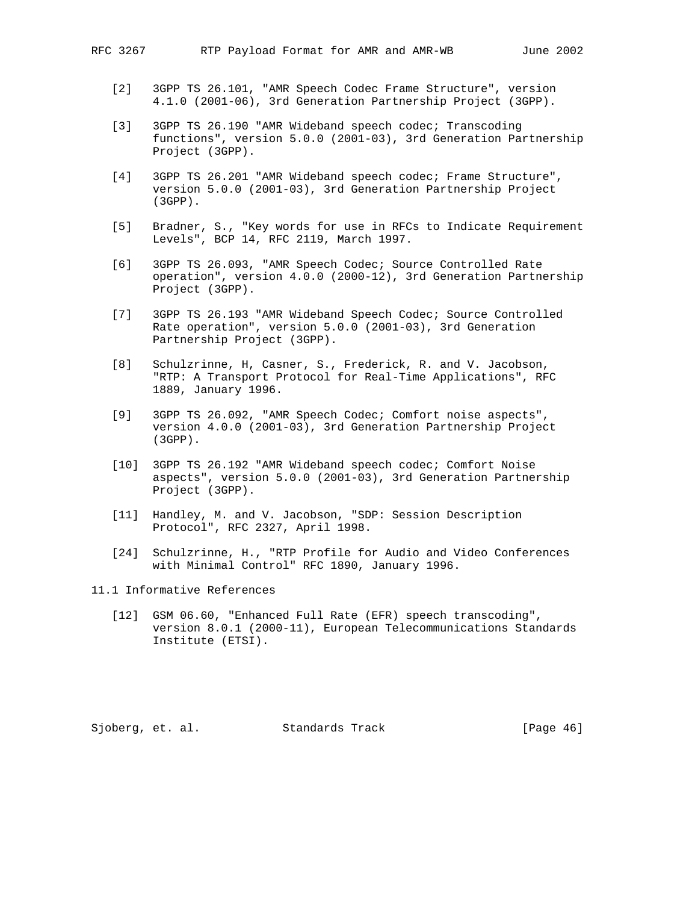- [2] 3GPP TS 26.101, "AMR Speech Codec Frame Structure", version 4.1.0 (2001-06), 3rd Generation Partnership Project (3GPP).
- [3] 3GPP TS 26.190 "AMR Wideband speech codec; Transcoding functions", version 5.0.0 (2001-03), 3rd Generation Partnership Project (3GPP).
- [4] 3GPP TS 26.201 "AMR Wideband speech codec; Frame Structure", version 5.0.0 (2001-03), 3rd Generation Partnership Project (3GPP).
- [5] Bradner, S., "Key words for use in RFCs to Indicate Requirement Levels", BCP 14, RFC 2119, March 1997.
- [6] 3GPP TS 26.093, "AMR Speech Codec; Source Controlled Rate operation", version 4.0.0 (2000-12), 3rd Generation Partnership Project (3GPP).
- [7] 3GPP TS 26.193 "AMR Wideband Speech Codec; Source Controlled Rate operation", version 5.0.0 (2001-03), 3rd Generation Partnership Project (3GPP).
- [8] Schulzrinne, H, Casner, S., Frederick, R. and V. Jacobson, "RTP: A Transport Protocol for Real-Time Applications", RFC 1889, January 1996.
- [9] 3GPP TS 26.092, "AMR Speech Codec; Comfort noise aspects", version 4.0.0 (2001-03), 3rd Generation Partnership Project (3GPP).
- [10] 3GPP TS 26.192 "AMR Wideband speech codec; Comfort Noise aspects", version 5.0.0 (2001-03), 3rd Generation Partnership Project (3GPP).
- [11] Handley, M. and V. Jacobson, "SDP: Session Description Protocol", RFC 2327, April 1998.
- [24] Schulzrinne, H., "RTP Profile for Audio and Video Conferences with Minimal Control" RFC 1890, January 1996.

11.1 Informative References

 [12] GSM 06.60, "Enhanced Full Rate (EFR) speech transcoding", version 8.0.1 (2000-11), European Telecommunications Standards Institute (ETSI).

Sjoberg, et. al. Standards Track [Page 46]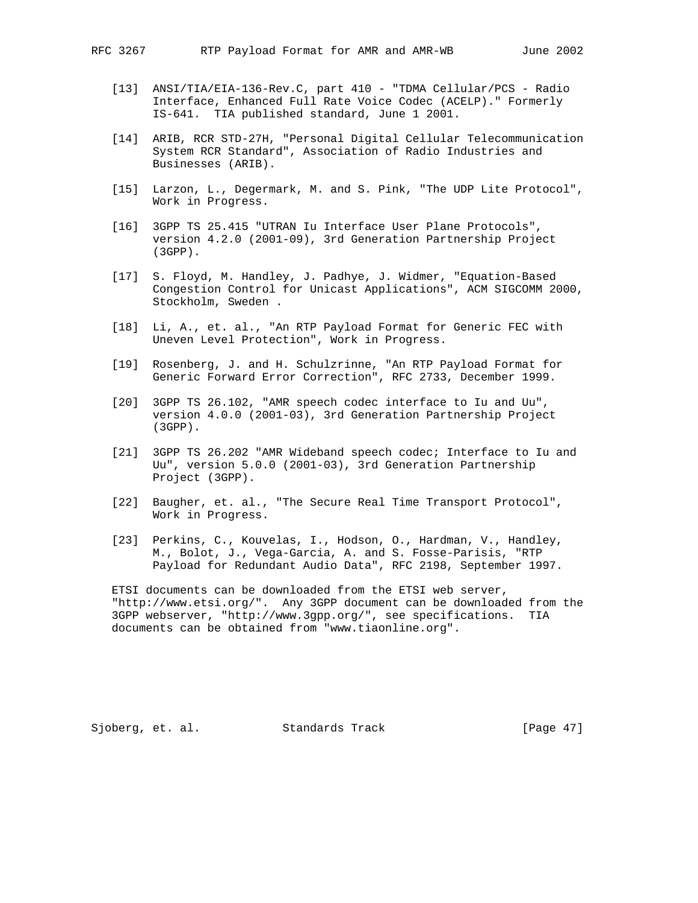- [13] ANSI/TIA/EIA-136-Rev.C, part 410 "TDMA Cellular/PCS Radio Interface, Enhanced Full Rate Voice Codec (ACELP)." Formerly IS-641. TIA published standard, June 1 2001.
- [14] ARIB, RCR STD-27H, "Personal Digital Cellular Telecommunication System RCR Standard", Association of Radio Industries and Businesses (ARIB).
- [15] Larzon, L., Degermark, M. and S. Pink, "The UDP Lite Protocol", Work in Progress.
- [16] 3GPP TS 25.415 "UTRAN Iu Interface User Plane Protocols", version 4.2.0 (2001-09), 3rd Generation Partnership Project (3GPP).
- [17] S. Floyd, M. Handley, J. Padhye, J. Widmer, "Equation-Based Congestion Control for Unicast Applications", ACM SIGCOMM 2000, Stockholm, Sweden .
- [18] Li, A., et. al., "An RTP Payload Format for Generic FEC with Uneven Level Protection", Work in Progress.
- [19] Rosenberg, J. and H. Schulzrinne, "An RTP Payload Format for Generic Forward Error Correction", RFC 2733, December 1999.
- [20] 3GPP TS 26.102, "AMR speech codec interface to Iu and Uu", version 4.0.0 (2001-03), 3rd Generation Partnership Project (3GPP).
- [21] 3GPP TS 26.202 "AMR Wideband speech codec; Interface to Iu and Uu", version 5.0.0 (2001-03), 3rd Generation Partnership Project (3GPP).
- [22] Baugher, et. al., "The Secure Real Time Transport Protocol", Work in Progress.
- [23] Perkins, C., Kouvelas, I., Hodson, O., Hardman, V., Handley, M., Bolot, J., Vega-Garcia, A. and S. Fosse-Parisis, "RTP Payload for Redundant Audio Data", RFC 2198, September 1997.

 ETSI documents can be downloaded from the ETSI web server, "http://www.etsi.org/". Any 3GPP document can be downloaded from the 3GPP webserver, "http://www.3gpp.org/", see specifications. TIA documents can be obtained from "www.tiaonline.org".

Sjoberg, et. al. Standards Track [Page 47]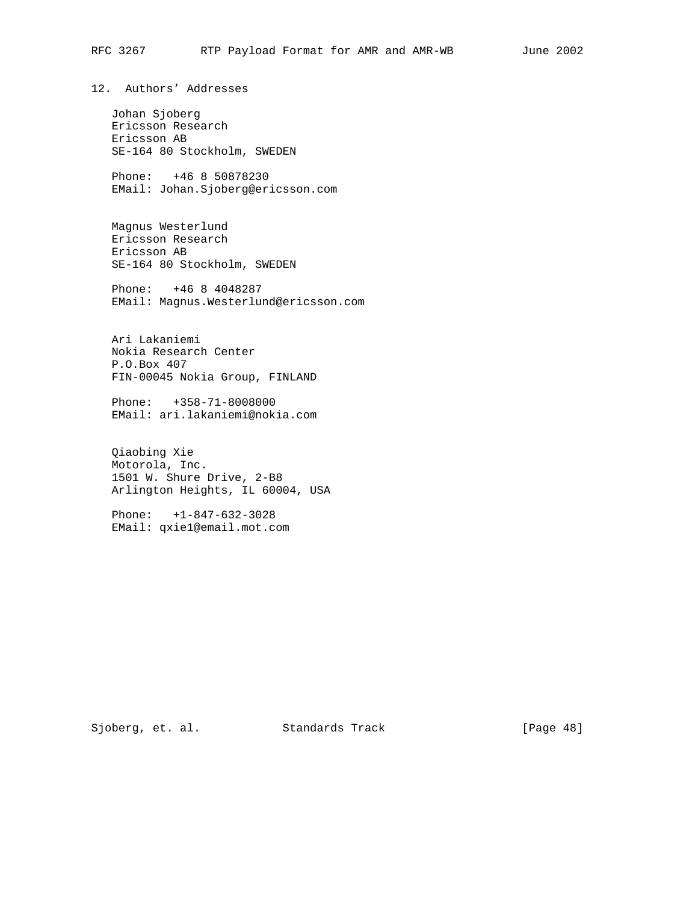12. Authors' Addresses

 Johan Sjoberg Ericsson Research Ericsson AB SE-164 80 Stockholm, SWEDEN

 Phone: +46 8 50878230 EMail: Johan.Sjoberg@ericsson.com

 Magnus Westerlund Ericsson Research Ericsson AB SE-164 80 Stockholm, SWEDEN

 Phone: +46 8 4048287 EMail: Magnus.Westerlund@ericsson.com

 Ari Lakaniemi Nokia Research Center P.O.Box 407 FIN-00045 Nokia Group, FINLAND

 Phone: +358-71-8008000 EMail: ari.lakaniemi@nokia.com

 Qiaobing Xie Motorola, Inc. 1501 W. Shure Drive, 2-B8 Arlington Heights, IL 60004, USA

 Phone: +1-847-632-3028 EMail: qxie1@email.mot.com

Sjoberg, et. al. Standards Track [Page 48]